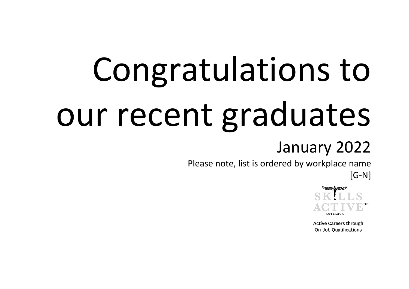## Congratulations to our recent graduates

## January 2022

Please note, list is ordered by workplace name

[G-N]



**Active Careers through** On-Job Qualifications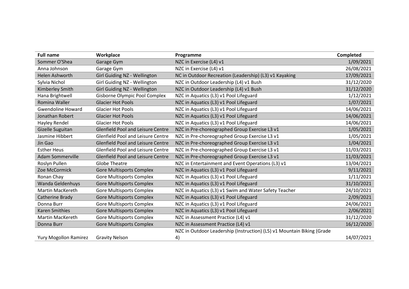| <b>Full name</b>             | Workplace                                | Programme                                                              | Completed  |
|------------------------------|------------------------------------------|------------------------------------------------------------------------|------------|
| Sommer O'Shea                | Garage Gym                               | NZC in Exercise (L4) v1                                                | 1/09/2021  |
| Anna Johnson                 | Garage Gym                               | NZC in Exercise (L4) v1                                                | 26/08/2021 |
| <b>Helen Ashworth</b>        | Girl Guiding NZ - Wellington             | NC in Outdoor Recreation (Leadership) (L3) v1 Kayaking                 | 17/09/2021 |
| Sylvia Nichol                | Girl Guiding NZ - Wellington             | NZC in Outdoor Leadership (L4) v1 Bush                                 | 31/12/2020 |
| Kimberley Smith              | Girl Guiding NZ - Wellington             | NZC in Outdoor Leadership (L4) v1 Bush                                 | 31/12/2020 |
| Hana Brightwell              | <b>Gisborne Olympic Pool Complex</b>     | NZC in Aquatics (L3) v1 Pool Lifeguard                                 | 1/12/2021  |
| Romina Waller                | <b>Glacier Hot Pools</b>                 | NZC in Aquatics (L3) v1 Pool Lifeguard                                 | 1/07/2021  |
| <b>Gwendoline Howard</b>     | <b>Glacier Hot Pools</b>                 | NZC in Aquatics (L3) v1 Pool Lifeguard                                 | 14/06/2021 |
| Jonathan Robert              | <b>Glacier Hot Pools</b>                 | NZC in Aquatics (L3) v1 Pool Lifeguard                                 | 14/06/2021 |
| Hayley Rendel                | <b>Glacier Hot Pools</b>                 | NZC in Aquatics (L3) v1 Pool Lifeguard                                 | 14/06/2021 |
| Gizelle Suguitan             | <b>Glenfield Pool and Leisure Centre</b> | NZC in Pre-choreographed Group Exercise L3 v1                          | 1/05/2021  |
| Jasmine Hibbert              | <b>Glenfield Pool and Leisure Centre</b> | NZC in Pre-choreographed Group Exercise L3 v1                          | 1/05/2021  |
| Jin Gao                      | <b>Glenfield Pool and Leisure Centre</b> | NZC in Pre-choreographed Group Exercise L3 v1                          | 1/04/2021  |
| <b>Esther Heus</b>           | <b>Glenfield Pool and Leisure Centre</b> | NZC in Pre-choreographed Group Exercise L3 v1                          | 11/03/2021 |
| <b>Adam Sommerville</b>      | <b>Glenfield Pool and Leisure Centre</b> | NZC in Pre-choreographed Group Exercise L3 v1                          | 11/03/2021 |
| Roslyn Pullen                | <b>Globe Theatre</b>                     | NZC in Entertainment and Event Operations (L3) v1                      | 13/04/2021 |
| Zoe McCormick                | <b>Gore Multisports Complex</b>          | NZC in Aquatics (L3) v1 Pool Lifeguard                                 | 9/11/2021  |
| Ronan Chay                   | <b>Gore Multisports Complex</b>          | NZC in Aquatics (L3) v1 Pool Lifeguard                                 | 1/11/2021  |
| Wanda Geldenhuys             | <b>Gore Multisports Complex</b>          | NZC in Aquatics (L3) v1 Pool Lifeguard                                 | 31/10/2021 |
| <b>Martin MacKereth</b>      | <b>Gore Multisports Complex</b>          | NZC in Aquatics (L3) v1 Swim and Water Safety Teacher                  | 24/10/2021 |
| Catherine Brady              | <b>Gore Multisports Complex</b>          | NZC in Aquatics (L3) v1 Pool Lifeguard                                 | 2/09/2021  |
| Donna Burr                   | <b>Gore Multisports Complex</b>          | NZC in Aquatics (L3) v1 Pool Lifeguard                                 | 24/06/2021 |
| <b>Karen Smithies</b>        | <b>Gore Multisports Complex</b>          | NZC in Aquatics (L3) v1 Pool Lifeguard                                 | 2/06/2021  |
| <b>Martin MacKereth</b>      | <b>Gore Multisports Complex</b>          | NZC in Assessment Practice (L4) v1                                     | 31/12/2020 |
| Donna Burr                   | <b>Gore Multisports Complex</b>          | NZC in Assessment Practice (L4) v1                                     | 16/12/2020 |
|                              |                                          | NZC in Outdoor Leadership (Instruction) (L5) v1 Mountain Biking (Grade |            |
| <b>Yury Mogollon Ramirez</b> | <b>Gravity Nelson</b>                    | 4)                                                                     | 14/07/2021 |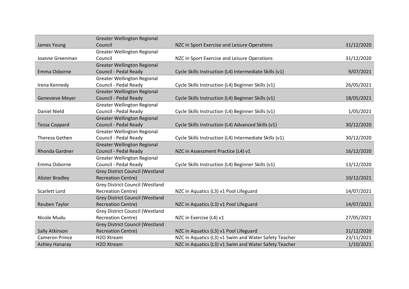|                        | <b>Greater Wellington Regional</b>     |                                                        |            |
|------------------------|----------------------------------------|--------------------------------------------------------|------------|
| James Young            | Council                                | NZC in Sport Exercise and Leisure Operations           | 31/12/2020 |
|                        | <b>Greater Wellington Regional</b>     |                                                        |            |
| Joanne Greenman        | Council                                | NZC in Sport Exercise and Leisure Operations           | 31/12/2020 |
|                        | <b>Greater Wellington Regional</b>     |                                                        |            |
| Emma Osborne           | Council - Pedal Ready                  | Cycle Skills Instruction (L4) Intermediate Skills (v1) | 9/07/2021  |
|                        | <b>Greater Wellington Regional</b>     |                                                        |            |
| Irena Kennedy          | Council - Pedal Ready                  | Cycle Skills Instruction (L4) Beginner Skills (v1)     | 26/05/2021 |
|                        | <b>Greater Wellington Regional</b>     |                                                        |            |
| <b>Genevieve Meyer</b> | Council - Pedal Ready                  | Cycle Skills Instruction (L4) Beginner Skills (v1)     | 18/05/2021 |
|                        | <b>Greater Wellington Regional</b>     |                                                        |            |
| <b>Daniel Nield</b>    | Council - Pedal Ready                  | Cycle Skills Instruction (L4) Beginner Skills (v1)     | 1/05/2021  |
|                        | <b>Greater Wellington Regional</b>     |                                                        |            |
| <b>Tessa Coppard</b>   | Council - Pedal Ready                  | Cycle Skills Instruction (L4) Advanced Skills (v1)     | 30/12/2020 |
|                        | <b>Greater Wellington Regional</b>     |                                                        |            |
| Theresa Gethen         | Council - Pedal Ready                  | Cycle Skills Instruction (L4) Intermediate Skills (v1) | 30/12/2020 |
|                        | <b>Greater Wellington Regional</b>     |                                                        |            |
| Rhonda Gardner         | Council - Pedal Ready                  | NZC in Assessment Practice (L4) v1                     | 16/12/2020 |
|                        | <b>Greater Wellington Regional</b>     |                                                        |            |
| Emma Osborne           | Council - Pedal Ready                  | Cycle Skills Instruction (L4) Beginner Skills (v1)     | 13/12/2020 |
|                        | <b>Grey District Council (Westland</b> |                                                        |            |
| <b>Alister Bradley</b> | <b>Recreation Centre)</b>              |                                                        | 10/12/2021 |
|                        | <b>Grey District Council (Westland</b> |                                                        |            |
| Scarlett Lord          | <b>Recreation Centre)</b>              | NZC in Aquatics (L3) v1 Pool Lifeguard                 | 14/07/2021 |
|                        | <b>Grey District Council (Westland</b> |                                                        |            |
| Reuben Taylor          | <b>Recreation Centre)</b>              | NZC in Aquatics (L3) v1 Pool Lifeguard                 | 14/07/2021 |
|                        | <b>Grey District Council (Westland</b> |                                                        |            |
| Nicole Mudu            | <b>Recreation Centre)</b>              | NZC in Exercise (L4) v1                                | 27/05/2021 |
|                        | <b>Grey District Council (Westland</b> |                                                        |            |
| Sally Atkinson         | <b>Recreation Centre)</b>              | NZC in Aquatics (L3) v1 Pool Lifeguard                 | 31/12/2020 |
| <b>Cameron Prince</b>  | H <sub>2</sub> O Xtream                | NZC in Aquatics (L3) v1 Swim and Water Safety Teacher  | 23/11/2021 |
| <b>Ashley Hanaray</b>  | H <sub>2</sub> O Xtream                | NZC in Aquatics (L3) v1 Swim and Water Safety Teacher  | 1/10/2021  |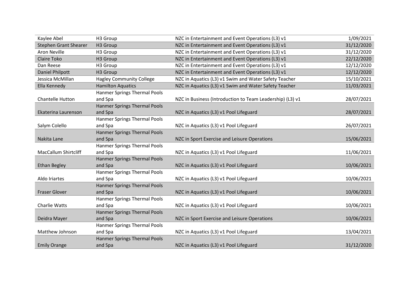| Kaylee Abel                  | H3 Group                            | NZC in Entertainment and Event Operations (L3) v1         | 1/09/2021  |
|------------------------------|-------------------------------------|-----------------------------------------------------------|------------|
| <b>Stephen Grant Shearer</b> | H3 Group                            | NZC in Entertainment and Event Operations (L3) v1         | 31/12/2020 |
| <b>Aron Neville</b>          | H3 Group                            | NZC in Entertainment and Event Operations (L3) v1         | 31/12/2020 |
| Claire Toko                  | H3 Group                            | NZC in Entertainment and Event Operations (L3) v1         | 22/12/2020 |
| Dan Reese                    | H3 Group                            | NZC in Entertainment and Event Operations (L3) v1         | 12/12/2020 |
| Daniel Philpott              | H3 Group                            | NZC in Entertainment and Event Operations (L3) v1         | 12/12/2020 |
| Jessica McMillan             | <b>Hagley Community College</b>     | NZC in Aquatics (L3) v1 Swim and Water Safety Teacher     | 15/10/2021 |
| Ella Kennedy                 | <b>Hamilton Aquatics</b>            | NZC in Aquatics (L3) v1 Swim and Water Safety Teacher     | 11/03/2021 |
|                              | Hanmer Springs Thermal Pools        |                                                           |            |
| <b>Chantelle Hutton</b>      | and Spa                             | NZC in Business (Introduction to Team Leadership) (L3) v1 | 28/07/2021 |
|                              | <b>Hanmer Springs Thermal Pools</b> |                                                           |            |
| Ekaterina Laurenson          | and Spa                             | NZC in Aquatics (L3) v1 Pool Lifeguard                    | 28/07/2021 |
|                              | Hanmer Springs Thermal Pools        |                                                           |            |
| Salym Colello                | and Spa                             | NZC in Aquatics (L3) v1 Pool Lifeguard                    | 26/07/2021 |
|                              | Hanmer Springs Thermal Pools        |                                                           |            |
| Nakita Lane                  | and Spa                             | NZC in Sport Exercise and Leisure Operations              | 15/06/2021 |
|                              | Hanmer Springs Thermal Pools        |                                                           |            |
| <b>MacCallum Shirtcliff</b>  | and Spa                             | NZC in Aquatics (L3) v1 Pool Lifeguard                    | 11/06/2021 |
|                              | <b>Hanmer Springs Thermal Pools</b> |                                                           |            |
| <b>Ethan Begley</b>          | and Spa                             | NZC in Aquatics (L3) v1 Pool Lifeguard                    | 10/06/2021 |
|                              | Hanmer Springs Thermal Pools        |                                                           |            |
| Aldo Iriartes                | and Spa                             | NZC in Aquatics (L3) v1 Pool Lifeguard                    | 10/06/2021 |
|                              | <b>Hanmer Springs Thermal Pools</b> |                                                           |            |
| <b>Fraser Glover</b>         | and Spa                             | NZC in Aquatics (L3) v1 Pool Lifeguard                    | 10/06/2021 |
|                              | <b>Hanmer Springs Thermal Pools</b> |                                                           |            |
| <b>Charlie Watts</b>         | and Spa                             | NZC in Aquatics (L3) v1 Pool Lifeguard                    | 10/06/2021 |
|                              | Hanmer Springs Thermal Pools        |                                                           |            |
| Deidra Mayer                 | and Spa                             | NZC in Sport Exercise and Leisure Operations              | 10/06/2021 |
|                              | Hanmer Springs Thermal Pools        |                                                           |            |
| Matthew Johnson              | and Spa                             | NZC in Aquatics (L3) v1 Pool Lifeguard                    | 13/04/2021 |
|                              | <b>Hanmer Springs Thermal Pools</b> |                                                           |            |
| <b>Emily Orange</b>          | and Spa                             | NZC in Aquatics (L3) v1 Pool Lifeguard                    | 31/12/2020 |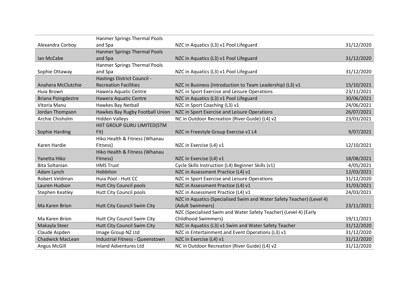|                           | <b>Hanmer Springs Thermal Pools</b>    |                                                                       |            |
|---------------------------|----------------------------------------|-----------------------------------------------------------------------|------------|
| Alexandra Corboy          | and Spa                                | NZC in Aquatics (L3) v1 Pool Lifeguard                                | 31/12/2020 |
|                           | <b>Hanmer Springs Thermal Pools</b>    |                                                                       |            |
| Ian McCabe                | and Spa                                | NZC in Aquatics (L3) v1 Pool Lifeguard                                | 31/12/2020 |
|                           | <b>Hanmer Springs Thermal Pools</b>    |                                                                       |            |
| Sophie Ottaway            | and Spa                                | NZC in Aquatics (L3) v1 Pool Lifeguard                                | 31/12/2020 |
|                           | Hastings District Council -            |                                                                       |            |
| Anahera McClutchie        | <b>Recreation Facilities</b>           | NZC in Business (Introduction to Team Leadership) (L3) v1             | 15/10/2021 |
| Huia Brown                | Hawera Aquatic Centre                  | NZC in Sport Exercise and Leisure Operations                          | 23/11/2021 |
| <b>Briana Poingdestre</b> | Hawera Aquatic Centre                  | NZC in Aquatics (L3) v1 Pool Lifeguard                                | 30/06/2021 |
| Vitoria Manu              | Hawkes Bay Netball                     | NZC in Sport Coaching (L3) v1                                         | 24/06/2021 |
| Jordan Thompson           | Hawkes Bay Rugby Football Union        | NZC in Sport Exercise and Leisure Operations                          | 26/07/2021 |
| Archie Chisholm           | <b>Hidden Valleys</b>                  | NC in Outdoor Recreation (River Guide) (L4) v2                        | 23/03/2021 |
|                           | HIIT GROUP GURU LIMITED(STM            |                                                                       |            |
| Sophie Harding            | Fit)                                   | NZC in Freestyle Group Exercise v1 L4                                 | 9/07/2021  |
|                           | Hiko Health & Fitness (Whanau          |                                                                       |            |
| Karen Hardie              | Fitness)                               | NZC in Exercise (L4) v1                                               | 12/10/2021 |
|                           | Hiko Health & Fitness (Whanau          |                                                                       |            |
| Yanetta Hiko              | Fitness)                               | NZC in Exercise (L4) v1                                               | 18/08/2021 |
| <b>Bita Soltanian</b>     | <b>HMS Trust</b>                       | Cycle Skills Instruction (L4) Beginner Skills (v1)                    | 4/05/2021  |
| Adam Lynch                | Hobbiton                               | NZC in Assessment Practice (L4) v1                                    | 12/03/2021 |
| Robert Veldman            | Huia Pool - Hutt CC                    | NZC in Sport Exercise and Leisure Operations                          | 31/12/2020 |
| Lauren Hudson             | <b>Hutt City Council pools</b>         | NZC in Assessment Practice (L4) v1                                    | 31/03/2021 |
| Stephen Keatley           | <b>Hutt City Council pools</b>         | NZC in Assessment Practice (L4) v1                                    | 24/03/2021 |
|                           |                                        | NZC in Aquatics (Specialised Swim and Water Safety Teacher) (Level 4) |            |
| Ma Karen Brion            | Hutt City Council Swim City            | (Adult Swimmers)                                                      | 23/11/2021 |
|                           |                                        | NZC (Specialised Swim and Water Safety Teacher) (Level 4) (Early      |            |
| Ma Karen Brion            | Hutt City Council Swim City            | <b>Childhood Swimmers)</b>                                            | 19/11/2021 |
| Makayla Steer             | Hutt City Council Swim City            | NZC in Aquatics (L3) v1 Swim and Water Safety Teacher                 | 31/12/2020 |
| Claude Aspden             | Image Group NZ Ltd                     | NZC in Entertainment and Event Operations (L3) v1                     | 31/12/2020 |
| <b>Chadwick MacLean</b>   | <b>Industrial Fitness - Queenstown</b> | NZC in Exercise (L4) v1                                               | 31/12/2020 |
| Angus McGill              | <b>Inland Adventures Ltd</b>           | NC in Outdoor Recreation (River Guide) (L4) v2                        | 31/12/2020 |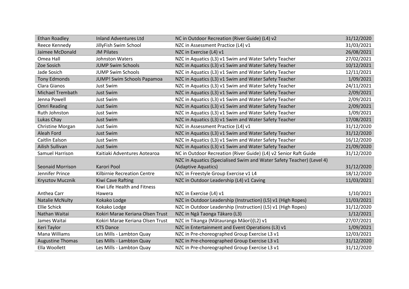| <b>Ethan Roadley</b>    | <b>Inland Adventures Ltd</b>     | NC in Outdoor Recreation (River Guide) (L4) v2                        | 31/12/2020 |
|-------------------------|----------------------------------|-----------------------------------------------------------------------|------------|
| Reece Kennedy           | JillyFish Swim School            | NZC in Assessment Practice (L4) v1                                    | 31/03/2021 |
| Jaimee McDonald         | <b>JM Pilates</b>                | NZC in Exercise (L4) v1                                               | 26/08/2021 |
| Omea Hall               | <b>Johnston Waters</b>           | NZC in Aquatics (L3) v1 Swim and Water Safety Teacher                 | 27/02/2021 |
| Zoe Sosich              | <b>JUMP Swim Schools</b>         | NZC in Aquatics (L3) v1 Swim and Water Safety Teacher                 | 10/12/2021 |
| Jade Sosich             | <b>JUMP Swim Schools</b>         | NZC in Aquatics (L3) v1 Swim and Water Safety Teacher                 | 12/11/2021 |
| <b>Tony Edmonds</b>     | JUMP! Swim Schools Papamoa       | NZC in Aquatics (L3) v1 Swim and Water Safety Teacher                 | 1/09/2021  |
| Clara Gianos            | Just Swim                        | NZC in Aquatics (L3) v1 Swim and Water Safety Teacher                 | 24/11/2021 |
| <b>Michael Trembath</b> | <b>Just Swim</b>                 | NZC in Aquatics (L3) v1 Swim and Water Safety Teacher                 | 2/09/2021  |
| Jenna Powell            | Just Swim                        | NZC in Aquatics (L3) v1 Swim and Water Safety Teacher                 | 2/09/2021  |
| <b>Omri Reading</b>     | <b>Just Swim</b>                 | NZC in Aquatics (L3) v1 Swim and Water Safety Teacher                 | 2/09/2021  |
| Ruth Johnston           | <b>Just Swim</b>                 | NZC in Aquatics (L3) v1 Swim and Water Safety Teacher                 | 1/09/2021  |
| Lukas Chay              | <b>Just Swim</b>                 | NZC in Aquatics (L3) v1 Swim and Water Safety Teacher                 | 17/08/2021 |
| Christine Morgan        | Just Swim                        | NZC in Assessment Practice (L4) v1                                    | 31/12/2020 |
| Aleah Ford              | <b>Just Swim</b>                 | NZC in Aquatics (L3) v1 Swim and Water Safety Teacher                 | 31/12/2020 |
| Caitlin Ealson          | Just Swim                        | NZC in Aquatics (L3) v1 Swim and Water Safety Teacher                 | 16/12/2020 |
| Ailish Sullivan         | <b>Just Swim</b>                 | NZC in Aquatics (L3) v1 Swim and Water Safety Teacher                 | 21/09/2020 |
| Samuel Harrison         | Kaitiaki Adventures Aotearoa     | NC in Outdoor Recreation (River Guide) (L4) v2 Senior Raft Guide      | 31/12/2020 |
|                         |                                  | NZC in Aquatics (Specialised Swim and Water Safety Teacher) (Level 4) |            |
| <b>Seonaid Morrison</b> | Karori Pool                      | (Adaptive Aquatics)                                                   | 31/12/2020 |
| Jennifer Prince         | Kilbirnie Recreation Centre      | NZC in Freestyle Group Exercise v1 L4                                 | 18/12/2020 |
| Krysztov Mucznik        | Kiwi Cave Rafting                | NZC in Outdoor Leadership (L4) v1 Caving                              | 11/03/2021 |
|                         | Kiwi Life Health and Fitness     |                                                                       |            |
| Anthea Carr             | Hawera                           | NZC in Exercise (L4) v1                                               | 1/10/2021  |
| <b>Natalie McNulty</b>  | Kokako Lodge                     | NZC in Outdoor Leadership (Instruction) (L5) v1 (High Ropes)          | 11/03/2021 |
| Ellie Schick            | Kokako Lodge                     | NZC in Outdoor Leadership (Instruction) (L5) v1 (High Ropes)          | 31/12/2020 |
| Nathan Waitai           | Kokiri Marae Keriana Olsen Trust | NZC in Ngā Taonga Tākaro (L3)                                         | 1/12/2021  |
| James Waitai            | Kokiri Marae Keriana Olsen Trust | NZC in Tikanga (Mātauranga Māori)(L2) v1                              | 27/07/2021 |
| Keri Taylor             | <b>KTS Dance</b>                 | NZC in Entertainment and Event Operations (L3) v1                     | 1/09/2021  |
| Mana Williams           | Les Mills - Lambton Quay         | NZC in Pre-choreographed Group Exercise L3 v1                         | 12/03/2021 |
| <b>Augustine Thomas</b> | Les Mills - Lambton Quay         | NZC in Pre-choreographed Group Exercise L3 v1                         | 31/12/2020 |
| Ella Woollett           | Les Mills - Lambton Quay         | NZC in Pre-choreographed Group Exercise L3 v1                         | 31/12/2020 |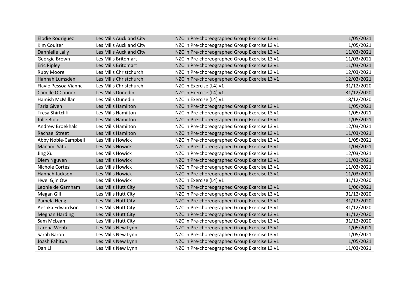| <b>Elodie Rodriguez</b> | Les Mills Auckland City | NZC in Pre-choreographed Group Exercise L3 v1 | 1/05/2021  |
|-------------------------|-------------------------|-----------------------------------------------|------------|
| Kim Coulter             | Les Mills Auckland City | NZC in Pre-choreographed Group Exercise L3 v1 | 1/05/2021  |
| Dannielle Lally         | Les Mills Auckland City | NZC in Pre-choreographed Group Exercise L3 v1 | 11/03/2021 |
| Georgia Brown           | Les Mills Britomart     | NZC in Pre-choreographed Group Exercise L3 v1 | 11/03/2021 |
| <b>Eric Ripley</b>      | Les Mills Britomart     | NZC in Pre-choreographed Group Exercise L3 v1 | 11/03/2021 |
| <b>Ruby Moore</b>       | Les Mills Christchurch  | NZC in Pre-choreographed Group Exercise L3 v1 | 12/03/2021 |
| Hannah Lumsden          | Les Mills Christchurch  | NZC in Pre-choreographed Group Exercise L3 v1 | 12/03/2021 |
| Flavio Pessoa Vianna    | Les Mills Christchurch  | NZC in Exercise (L4) v1                       | 31/12/2020 |
| Camille O'Connor        | Les Mills Dunedin       | NZC in Exercise (L4) v1                       | 31/12/2020 |
| Hamish McMillan         | Les Mills Dunedin       | NZC in Exercise (L4) v1                       | 18/12/2020 |
| <b>Taria Given</b>      | Les Mills Hamilton      | NZC in Pre-choreographed Group Exercise L3 v1 | 1/05/2021  |
| <b>Tresa Shirtcliff</b> | Les Mills Hamilton      | NZC in Pre-choreographed Group Exercise L3 v1 | 1/05/2021  |
| <b>Julie Brice</b>      | Les Mills Hamilton      | NZC in Pre-choreographed Group Exercise L3 v1 | 1/05/2021  |
| <b>Andrew Broekhals</b> | Les Mills Hamilton      | NZC in Pre-choreographed Group Exercise L3 v1 | 12/03/2021 |
| <b>Rachael Street</b>   | Les Mills Hamilton      | NZC in Pre-choreographed Group Exercise L3 v1 | 11/03/2021 |
| Abby Noble-Campbell     | Les Mills Howick        | NZC in Pre-choreographed Group Exercise L3 v1 | 1/05/2021  |
| Manami Sato             | Les Mills Howick        | NZC in Pre-choreographed Group Exercise L3 v1 | 1/04/2021  |
| Jing Xu                 | Les Mills Howick        | NZC in Pre-choreographed Group Exercise L3 v1 | 12/03/2021 |
| Diem Nguyen             | Les Mills Howick        | NZC in Pre-choreographed Group Exercise L3 v1 | 11/03/2021 |
| Nichole Cortesi         | Les Mills Howick        | NZC in Pre-choreographed Group Exercise L3 v1 | 11/03/2021 |
| Hannah Jackson          | Les Mills Howick        | NZC in Pre-choreographed Group Exercise L3 v1 | 11/03/2021 |
| Hwei Gjin Ow            | Les Mills Howick        | NZC in Exercise (L4) v1                       | 31/12/2020 |
| Leonie de Garnham       | Les Mills Hutt City     | NZC in Pre-choreographed Group Exercise L3 v1 | 1/06/2021  |
| Megan Gill              | Les Mills Hutt City     | NZC in Pre-choreographed Group Exercise L3 v1 | 31/12/2020 |
| Pamela Heng             | Les Mills Hutt City     | NZC in Pre-choreographed Group Exercise L3 v1 | 31/12/2020 |
| Aeshka Edwardson        | Les Mills Hutt City     | NZC in Pre-choreographed Group Exercise L3 v1 | 31/12/2020 |
| <b>Meghan Harding</b>   | Les Mills Hutt City     | NZC in Pre-choreographed Group Exercise L3 v1 | 31/12/2020 |
| Sam McLean              | Les Mills Hutt City     | NZC in Pre-choreographed Group Exercise L3 v1 | 31/12/2020 |
| Tareha Webb             | Les Mills New Lynn      | NZC in Pre-choreographed Group Exercise L3 v1 | 1/05/2021  |
| Sarah Baron             | Les Mills New Lynn      | NZC in Pre-choreographed Group Exercise L3 v1 | 1/05/2021  |
| Joash Fahitua           | Les Mills New Lynn      | NZC in Pre-choreographed Group Exercise L3 v1 | 1/05/2021  |
| Dan Li                  | Les Mills New Lynn      | NZC in Pre-choreographed Group Exercise L3 v1 | 11/03/2021 |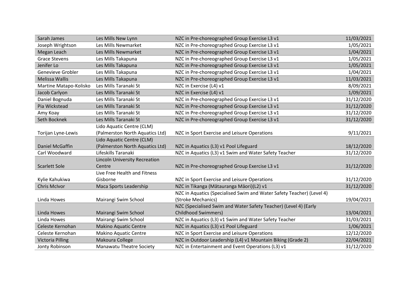| Sarah James            | Les Mills New Lynn                   | NZC in Pre-choreographed Group Exercise L3 v1                         | 11/03/2021 |
|------------------------|--------------------------------------|-----------------------------------------------------------------------|------------|
| Joseph Wrightson       | Les Mills Newmarket                  | NZC in Pre-choreographed Group Exercise L3 v1                         | 1/05/2021  |
| Megan Leach            | Les Mills Newmarket                  | NZC in Pre-choreographed Group Exercise L3 v1                         | 1/04/2021  |
| <b>Grace Stevens</b>   | Les Mills Takapuna                   | NZC in Pre-choreographed Group Exercise L3 v1                         | 1/05/2021  |
| Jenifer Lo             | Les Mills Takapuna                   | NZC in Pre-choreographed Group Exercise L3 v1                         | 1/05/2021  |
| Genevieve Grobler      | Les Mills Takapuna                   | NZC in Pre-choreographed Group Exercise L3 v1                         | 1/04/2021  |
| <b>Melissa Wallis</b>  | Les Mills Takapuna                   | NZC in Pre-choreographed Group Exercise L3 v1                         | 11/03/2021 |
| Martine Matapo-Kolisko | Les Mills Taranaki St                | NZC in Exercise (L4) v1                                               | 8/09/2021  |
| Jacob Carlyon          | Les Mills Taranaki St                | NZC in Exercise (L4) v1                                               | 1/09/2021  |
| Daniel Bognuda         | Les Mills Taranaki St                | NZC in Pre-choreographed Group Exercise L3 v1                         | 31/12/2020 |
| Pia Wickstead          | Les Mills Taranaki St                | NZC in Pre-choreographed Group Exercise L3 v1                         | 31/12/2020 |
| Amy Koay               | Les Mills Taranaki St                | NZC in Pre-choreographed Group Exercise L3 v1                         | 31/12/2020 |
| Seth Bocknek           | Les Mills Taranaki St                | NZC in Pre-choreographed Group Exercise L3 v1                         | 31/12/2020 |
|                        | Lido Aquatic Centre (CLM)            |                                                                       |            |
| Torijan Lyne-Lewis     | (Palmerston North Aquatics Ltd)      | NZC in Sport Exercise and Leisure Operations                          | 9/11/2021  |
|                        | Lido Aquatic Centre (CLM)            |                                                                       |            |
| Daniel McGaffin        | (Palmerston North Aquatics Ltd)      | NZC in Aquatics (L3) v1 Pool Lifeguard                                | 18/12/2020 |
| Carl Woodward          | Lifeskills Taranaki                  | NZC in Aquatics (L3) v1 Swim and Water Safety Teacher                 | 31/12/2020 |
|                        | <b>Lincoln University Recreation</b> |                                                                       |            |
| Scarlett Sole          | Centre                               | NZC in Pre-choreographed Group Exercise L3 v1                         | 31/12/2020 |
|                        | Live Free Health and Fitness         |                                                                       |            |
| Kylie Kahukiwa         | Gisborne                             | NZC in Sport Exercise and Leisure Operations                          | 31/12/2020 |
| <b>Chris McIvor</b>    | Maca Sports Leadership               | NZC in Tikanga (Mātauranga Māori)(L2) v1                              | 31/12/2020 |
|                        |                                      | NZC in Aquatics (Specialised Swim and Water Safety Teacher) (Level 4) |            |
| Linda Howes            | Mairangi Swim School                 | (Stroke Mechanics)                                                    | 19/04/2021 |
|                        |                                      | NZC (Specialised Swim and Water Safety Teacher) (Level 4) (Early      |            |
| Linda Howes            | Mairangi Swim School                 | <b>Childhood Swimmers)</b>                                            | 13/04/2021 |
| Linda Howes            | Mairangi Swim School                 | NZC in Aquatics (L3) v1 Swim and Water Safety Teacher                 | 31/03/2021 |
| Celeste Kernohan       | <b>Makino Aquatic Centre</b>         | NZC in Aquatics (L3) v1 Pool Lifeguard                                | 1/06/2021  |
| Celeste Kernohan       | <b>Makino Aquatic Centre</b>         | NZC in Sport Exercise and Leisure Operations                          | 12/12/2020 |
| Victoria Pilling       | Makoura College                      | NZC in Outdoor Leadership (L4) v1 Mountain Biking (Grade 2)           | 22/04/2021 |
| Jonty Robinson         | Manawatu Theatre Society             | NZC in Entertainment and Event Operations (L3) v1                     | 31/12/2020 |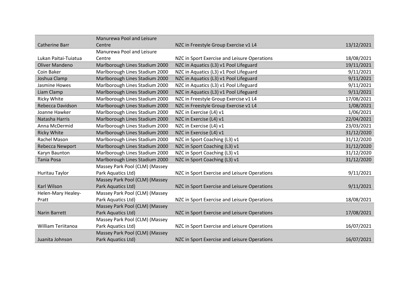|                           | Manurewa Pool and Leisure      |                                              |            |
|---------------------------|--------------------------------|----------------------------------------------|------------|
| <b>Catherine Barr</b>     | Centre                         | NZC in Freestyle Group Exercise v1 L4        | 13/12/2021 |
|                           | Manurewa Pool and Leisure      |                                              |            |
| Lukan Paitai-Tuiatua      | Centre                         | NZC in Sport Exercise and Leisure Operations | 18/08/2021 |
| <b>Oliver Mandeno</b>     | Marlborough Lines Stadium 2000 | NZC in Aquatics (L3) v1 Pool Lifeguard       | 19/11/2021 |
| Coin Baker                | Marlborough Lines Stadium 2000 | NZC in Aquatics (L3) v1 Pool Lifeguard       | 9/11/2021  |
| Joshua Clamp              | Marlborough Lines Stadium 2000 | NZC in Aquatics (L3) v1 Pool Lifeguard       | 9/11/2021  |
| Jasmine Howes             | Marlborough Lines Stadium 2000 | NZC in Aquatics (L3) v1 Pool Lifeguard       | 9/11/2021  |
| Liam Clamp                | Marlborough Lines Stadium 2000 | NZC in Aquatics (L3) v1 Pool Lifeguard       | 9/11/2021  |
| <b>Ricky White</b>        | Marlborough Lines Stadium 2000 | NZC in Freestyle Group Exercise v1 L4        | 17/08/2021 |
| Rebecca Davidson          | Marlborough Lines Stadium 2000 | NZC in Freestyle Group Exercise v1 L4        | 1/08/2021  |
| Joanne Hawker             | Marlborough Lines Stadium 2000 | NZC in Exercise (L4) v1                      | 1/06/2021  |
| Natasha Harris            | Marlborough Lines Stadium 2000 | NZC in Exercise (L4) v1                      | 22/04/2021 |
| Anna McDermid             | Marlborough Lines Stadium 2000 | NZC in Exercise (L4) v1                      | 23/03/2021 |
| <b>Ricky White</b>        | Marlborough Lines Stadium 2000 | NZC in Exercise (L4) v1                      | 31/12/2020 |
| Rachel Mason              | Marlborough Lines Stadium 2000 | NZC in Sport Coaching (L3) v1                | 31/12/2020 |
| Rebecca Newport           | Marlborough Lines Stadium 2000 | NZC in Sport Coaching (L3) v1                | 31/12/2020 |
| Karyn Baunton             | Marlborough Lines Stadium 2000 | NZC in Sport Coaching (L3) v1                | 31/12/2020 |
| <b>Tania Posa</b>         | Marlborough Lines Stadium 2000 | NZC in Sport Coaching (L3) v1                | 31/12/2020 |
|                           | Massey Park Pool (CLM) (Massey |                                              |            |
| Huritau Taylor            | Park Aquatics Ltd)             | NZC in Sport Exercise and Leisure Operations | 9/11/2021  |
|                           | Massey Park Pool (CLM) (Massey |                                              |            |
| <b>Karl Wilson</b>        | Park Aquatics Ltd)             | NZC in Sport Exercise and Leisure Operations | 9/11/2021  |
| Helen-Mary Healey-        | Massey Park Pool (CLM) (Massey |                                              |            |
| Pratt                     | Park Aquatics Ltd)             | NZC in Sport Exercise and Leisure Operations | 18/08/2021 |
|                           | Massey Park Pool (CLM) (Massey |                                              |            |
| <b>Narin Barrett</b>      | Park Aquatics Ltd)             | NZC in Sport Exercise and Leisure Operations | 17/08/2021 |
|                           | Massey Park Pool (CLM) (Massey |                                              |            |
| <b>William Teriitanoa</b> | Park Aquatics Ltd)             | NZC in Sport Exercise and Leisure Operations | 16/07/2021 |
|                           | Massey Park Pool (CLM) (Massey |                                              |            |
| Juanita Johnson           | Park Aquatics Ltd)             | NZC in Sport Exercise and Leisure Operations | 16/07/2021 |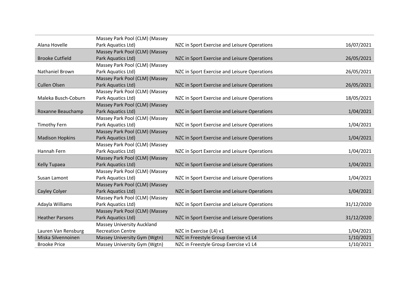|                        | Massey Park Pool (CLM) (Massey    |                                              |            |
|------------------------|-----------------------------------|----------------------------------------------|------------|
| Alana Hovelle          | Park Aquatics Ltd)                | NZC in Sport Exercise and Leisure Operations | 16/07/2021 |
|                        | Massey Park Pool (CLM) (Massey    |                                              |            |
| <b>Brooke Cutfield</b> | Park Aquatics Ltd)                | NZC in Sport Exercise and Leisure Operations | 26/05/2021 |
|                        | Massey Park Pool (CLM) (Massey    |                                              |            |
| <b>Nathaniel Brown</b> | Park Aquatics Ltd)                | NZC in Sport Exercise and Leisure Operations | 26/05/2021 |
|                        | Massey Park Pool (CLM) (Massey    |                                              |            |
| <b>Cullen Olsen</b>    | Park Aquatics Ltd)                | NZC in Sport Exercise and Leisure Operations | 26/05/2021 |
|                        | Massey Park Pool (CLM) (Massey    |                                              |            |
| Maleka Busch-Coburn    | Park Aquatics Ltd)                | NZC in Sport Exercise and Leisure Operations | 18/05/2021 |
|                        | Massey Park Pool (CLM) (Massey    |                                              |            |
| Roxanne Beauchamp      | Park Aquatics Ltd)                | NZC in Sport Exercise and Leisure Operations | 1/04/2021  |
|                        | Massey Park Pool (CLM) (Massey    |                                              |            |
| <b>Timothy Fern</b>    | Park Aquatics Ltd)                | NZC in Sport Exercise and Leisure Operations | 1/04/2021  |
|                        | Massey Park Pool (CLM) (Massey    |                                              |            |
| <b>Madison Hopkins</b> | Park Aquatics Ltd)                | NZC in Sport Exercise and Leisure Operations | 1/04/2021  |
|                        | Massey Park Pool (CLM) (Massey    |                                              |            |
| Hannah Fern            | Park Aquatics Ltd)                | NZC in Sport Exercise and Leisure Operations | 1/04/2021  |
|                        | Massey Park Pool (CLM) (Massey    |                                              |            |
| Kelly Tupaea           | Park Aquatics Ltd)                | NZC in Sport Exercise and Leisure Operations | 1/04/2021  |
|                        | Massey Park Pool (CLM) (Massey    |                                              |            |
| Susan Lamont           | Park Aquatics Ltd)                | NZC in Sport Exercise and Leisure Operations | 1/04/2021  |
|                        | Massey Park Pool (CLM) (Massey    |                                              |            |
| Cayley Colyer          | Park Aquatics Ltd)                | NZC in Sport Exercise and Leisure Operations | 1/04/2021  |
|                        | Massey Park Pool (CLM) (Massey    |                                              |            |
| Adayla Williams        | Park Aquatics Ltd)                | NZC in Sport Exercise and Leisure Operations | 31/12/2020 |
|                        | Massey Park Pool (CLM) (Massey    |                                              |            |
| <b>Heather Parsons</b> | Park Aquatics Ltd)                | NZC in Sport Exercise and Leisure Operations | 31/12/2020 |
|                        | <b>Massey University Auckland</b> |                                              |            |
| Lauren Van Rensburg    | <b>Recreation Centre</b>          | NZC in Exercise (L4) v1                      | 1/04/2021  |
| Miska Silvennoinen     | Massey University Gym (Wgtn)      | NZC in Freestyle Group Exercise v1 L4        | 1/10/2021  |
| <b>Brooke Price</b>    | Massey University Gym (Wgtn)      | NZC in Freestyle Group Exercise v1 L4        | 1/10/2021  |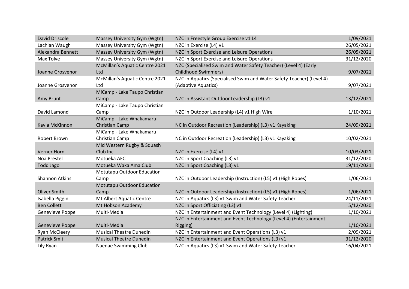| David Driscole        | Massey University Gym (Wgtn)   | NZC in Freestyle Group Exercise v1 L4                                 | 1/09/2021  |
|-----------------------|--------------------------------|-----------------------------------------------------------------------|------------|
| Lachlan Waugh         | Massey University Gym (Wgtn)   | NZC in Exercise (L4) v1                                               | 26/05/2021 |
| Alexandra Bennett     | Massey University Gym (Wgtn)   | NZC in Sport Exercise and Leisure Operations                          | 26/05/2021 |
| Max Tolve             | Massey University Gym (Wgtn)   | NZC in Sport Exercise and Leisure Operations                          | 31/12/2020 |
|                       | McMillan's Aquatic Centre 2021 | NZC (Specialised Swim and Water Safety Teacher) (Level 4) (Early      |            |
| Joanne Grosvenor      | Ltd                            | <b>Childhood Swimmers)</b>                                            | 9/07/2021  |
|                       | McMillan's Aquatic Centre 2021 | NZC in Aquatics (Specialised Swim and Water Safety Teacher) (Level 4) |            |
| Joanne Grosvenor      | Ltd                            | (Adaptive Aquatics)                                                   | 9/07/2021  |
|                       | MiCamp - Lake Taupo Christian  |                                                                       |            |
| Amy Brunt             | Camp                           | NZC in Assistant Outdoor Leadership (L3) v1                           | 13/12/2021 |
|                       | MiCamp - Lake Taupo Christian  |                                                                       |            |
| David Lamond          | Camp                           | NZC in Outdoor Leadership (L4) v1 High Wire                           | 1/10/2021  |
|                       | MiCamp - Lake Whakamaru        |                                                                       |            |
| Kayla McKinnon        | Christian Camp                 | NC in Outdoor Recreation (Leadership) (L3) v1 Kayaking                | 24/09/2021 |
|                       | MiCamp - Lake Whakamaru        |                                                                       |            |
| Robert Brown          | Christian Camp                 | NC in Outdoor Recreation (Leadership) (L3) v1 Kayaking                | 10/02/2021 |
|                       | Mid Western Rugby & Squash     |                                                                       |            |
| <b>Verner Horn</b>    | Club Inc                       | NZC in Exercise (L4) v1                                               | 10/03/2021 |
| Noa Prestel           | Motueka AFC                    | NZC in Sport Coaching (L3) v1                                         | 31/12/2020 |
| <b>Todd Jago</b>      | Motueka Waka Ama Club          | NZC in Sport Coaching (L3) v1                                         | 19/11/2021 |
|                       | Motutapu Outdoor Education     |                                                                       |            |
| <b>Shannon Atkins</b> | Camp                           | NZC in Outdoor Leadership (Instruction) (L5) v1 (High Ropes)          | 1/06/2021  |
|                       | Motutapu Outdoor Education     |                                                                       |            |
| <b>Oliver Smith</b>   | Camp                           | NZC in Outdoor Leadership (Instruction) (L5) v1 (High Ropes)          | 1/06/2021  |
| Isabella Piggin       | Mt Albert Aquatic Centre       | NZC in Aquatics (L3) v1 Swim and Water Safety Teacher                 | 24/11/2021 |
| <b>Ben Collett</b>    | Mt Hobson Academy              | NZC in Sport Officiating (L3) v1                                      | 5/12/2020  |
| Genevieve Poppe       | Multi-Media                    | NZC in Entertainment and Event Technology (Level 4) (Lighting)        | 1/10/2021  |
|                       |                                | NZC in Entertainment and Event Technology (Level 4) (Entertainment    |            |
| Genevieve Poppe       | Multi-Media                    | Rigging)                                                              | 1/10/2021  |
| <b>Ryan McCleery</b>  | <b>Musical Theatre Dunedin</b> | NZC in Entertainment and Event Operations (L3) v1                     | 2/09/2021  |
| <b>Patrick Smit</b>   | <b>Musical Theatre Dunedin</b> | NZC in Entertainment and Event Operations (L3) v1                     | 31/12/2020 |
| Lily Ryan             | Naenae Swimming Club           | NZC in Aquatics (L3) v1 Swim and Water Safety Teacher                 | 16/04/2021 |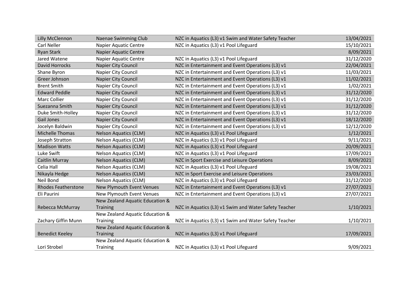| Lilly McClennon            | <b>Naenae Swimming Club</b>      | NZC in Aquatics (L3) v1 Swim and Water Safety Teacher | 13/04/2021 |
|----------------------------|----------------------------------|-------------------------------------------------------|------------|
| Carl Neller                | Napier Aquatic Centre            | NZC in Aquatics (L3) v1 Pool Lifeguard                | 15/10/2021 |
| <b>Ryan Stark</b>          | <b>Napier Aquatic Centre</b>     |                                                       | 8/09/2021  |
| Jared Watene               | <b>Napier Aquatic Centre</b>     | NZC in Aquatics (L3) v1 Pool Lifeguard                | 31/12/2020 |
| David Horrocks             | Napier City Council              | NZC in Entertainment and Event Operations (L3) v1     | 22/04/2021 |
| Shane Byron                | Napier City Council              | NZC in Entertainment and Event Operations (L3) v1     | 11/03/2021 |
| Greer Johnson              | Napier City Council              | NZC in Entertainment and Event Operations (L3) v1     | 11/02/2021 |
| <b>Brent Smith</b>         | Napier City Council              | NZC in Entertainment and Event Operations (L3) v1     | 1/02/2021  |
| <b>Edward Peddle</b>       | Napier City Council              | NZC in Entertainment and Event Operations (L3) v1     | 31/12/2020 |
| <b>Marc Collier</b>        | Napier City Council              | NZC in Entertainment and Event Operations (L3) v1     | 31/12/2020 |
| Suezanna Smith             | <b>Napier City Council</b>       | NZC in Entertainment and Event Operations (L3) v1     | 31/12/2020 |
| Duke Smith-Holley          | Napier City Council              | NZC in Entertainment and Event Operations (L3) v1     | 31/12/2020 |
| <b>Gail Jones</b>          | <b>Napier City Council</b>       | NZC in Entertainment and Event Operations (L3) v1     | 18/12/2020 |
| Jocelyn Baldwin            | Napier City Council              | NZC in Entertainment and Event Operations (L3) v1     | 12/12/2020 |
| <b>Michelle Thomas</b>     | <b>Nelson Aquatics (CLM)</b>     | NZC in Aquatics (L3) v1 Pool Lifeguard                | 1/12/2021  |
| Joseph Stratton            | <b>Nelson Aquatics (CLM)</b>     | NZC in Aquatics (L3) v1 Pool Lifeguard                | 9/11/2021  |
| <b>Madison Watts</b>       | <b>Nelson Aquatics (CLM)</b>     | NZC in Aquatics (L3) v1 Pool Lifeguard                | 20/09/2021 |
| Luke Swift                 | <b>Nelson Aquatics (CLM)</b>     | NZC in Aquatics (L3) v1 Pool Lifeguard                | 17/09/2021 |
| Caitlin Murray             | <b>Nelson Aquatics (CLM)</b>     | NZC in Sport Exercise and Leisure Operations          | 8/09/2021  |
| Celia Hall                 | <b>Nelson Aquatics (CLM)</b>     | NZC in Aquatics (L3) v1 Pool Lifeguard                | 19/08/2021 |
| Nikayla Hedge              | <b>Nelson Aquatics (CLM)</b>     | NZC in Sport Exercise and Leisure Operations          | 23/03/2021 |
| Neil Bond                  | <b>Nelson Aquatics (CLM)</b>     | NZC in Aquatics (L3) v1 Pool Lifeguard                | 31/12/2020 |
| <b>Rhodes Featherstone</b> | <b>New Plymouth Event Venues</b> | NZC in Entertainment and Event Operations (L3) v1     | 27/07/2021 |
| Eli Paurini                | New Plymouth Event Venues        | NZC in Entertainment and Event Operations (L3) v1     | 27/07/2021 |
|                            | New Zealand Aquatic Education &  |                                                       |            |
| Rebecca McMurray           | Training                         | NZC in Aquatics (L3) v1 Swim and Water Safety Teacher | 1/10/2021  |
|                            | New Zealand Aquatic Education &  |                                                       |            |
| Zachary Giffin Munn        | Training                         | NZC in Aquatics (L3) v1 Swim and Water Safety Teacher | 1/10/2021  |
|                            | New Zealand Aquatic Education &  |                                                       |            |
| <b>Benedict Keeley</b>     | <b>Training</b>                  | NZC in Aquatics (L3) v1 Pool Lifeguard                | 17/09/2021 |
|                            | New Zealand Aquatic Education &  |                                                       |            |
| Lori Strobel               | Training                         | NZC in Aquatics (L3) v1 Pool Lifeguard                | 9/09/2021  |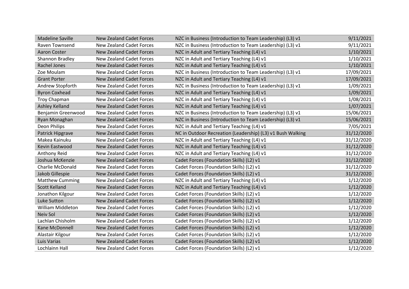| <b>Madeline Saville</b>  | <b>New Zealand Cadet Forces</b> | NZC in Business (Introduction to Team Leadership) (L3) v1  | 9/11/2021  |
|--------------------------|---------------------------------|------------------------------------------------------------|------------|
| Raven Townsend           | <b>New Zealand Cadet Forces</b> | NZC in Business (Introduction to Team Leadership) (L3) v1  | 9/11/2021  |
| <b>Aaron Coster</b>      | <b>New Zealand Cadet Forces</b> | NZC in Adult and Tertiary Teaching (L4) v1                 | 1/10/2021  |
| Shannon Bradley          | <b>New Zealand Cadet Forces</b> | NZC in Adult and Tertiary Teaching (L4) v1                 | 1/10/2021  |
| <b>Rachel Jones</b>      | <b>New Zealand Cadet Forces</b> | NZC in Adult and Tertiary Teaching (L4) v1                 | 1/10/2021  |
| Zoe Moulam               | <b>New Zealand Cadet Forces</b> | NZC in Business (Introduction to Team Leadership) (L3) v1  | 17/09/2021 |
| <b>Grant Porter</b>      | <b>New Zealand Cadet Forces</b> | NZC in Adult and Tertiary Teaching (L4) v1                 | 17/09/2021 |
| Andrew Stopforth         | <b>New Zealand Cadet Forces</b> | NZC in Business (Introduction to Team Leadership) (L3) v1  | 1/09/2021  |
| <b>Byron Coxhead</b>     | <b>New Zealand Cadet Forces</b> | NZC in Adult and Tertiary Teaching (L4) v1                 | 1/09/2021  |
| <b>Troy Chapman</b>      | <b>New Zealand Cadet Forces</b> | NZC in Adult and Tertiary Teaching (L4) v1                 | 1/08/2021  |
| <b>Ashley Kelland</b>    | <b>New Zealand Cadet Forces</b> | NZC in Adult and Tertiary Teaching (L4) v1                 | 1/07/2021  |
| Benjamin Greenwood       | <b>New Zealand Cadet Forces</b> | NZC in Business (Introduction to Team Leadership) (L3) v1  | 15/06/2021 |
| Ryan Monaghan            | <b>New Zealand Cadet Forces</b> | NZC in Business (Introduction to Team Leadership) (L3) v1  | 15/06/2021 |
| Deon Philips             | <b>New Zealand Cadet Forces</b> | NZC in Adult and Tertiary Teaching (L4) v1                 | 7/05/2021  |
| Patrick Hipgrave         | <b>New Zealand Cadet Forces</b> | NC in Outdoor Recreation (Leadership) (L3) v1 Bush Walking | 31/12/2020 |
| Makea Kainuku            | <b>New Zealand Cadet Forces</b> | NZC in Adult and Tertiary Teaching (L4) v1                 | 31/12/2020 |
| Kevin Eastwood           | <b>New Zealand Cadet Forces</b> | NZC in Adult and Tertiary Teaching (L4) v1                 | 31/12/2020 |
| Anthony Reid             | <b>New Zealand Cadet Forces</b> | NZC in Adult and Tertiary Teaching (L4) v1                 | 31/12/2020 |
| Joshua McKenzie          | <b>New Zealand Cadet Forces</b> | Cadet Forces (Foundation Skills) (L2) v1                   | 31/12/2020 |
| <b>Charlie McDonald</b>  | <b>New Zealand Cadet Forces</b> | Cadet Forces (Foundation Skills) (L2) v1                   | 31/12/2020 |
| Jakob Gillespie          | <b>New Zealand Cadet Forces</b> | Cadet Forces (Foundation Skills) (L2) v1                   | 31/12/2020 |
| <b>Matthew Cumming</b>   | <b>New Zealand Cadet Forces</b> | NZC in Adult and Tertiary Teaching (L4) v1                 | 1/12/2020  |
| <b>Scott Kelland</b>     | <b>New Zealand Cadet Forces</b> | NZC in Adult and Tertiary Teaching (L4) v1                 | 1/12/2020  |
| Jonathon Kilgour         | <b>New Zealand Cadet Forces</b> | Cadet Forces (Foundation Skills) (L2) v1                   | 1/12/2020  |
| <b>Luke Sutton</b>       | <b>New Zealand Cadet Forces</b> | Cadet Forces (Foundation Skills) (L2) v1                   | 1/12/2020  |
| <b>William Middleton</b> | <b>New Zealand Cadet Forces</b> | Cadet Forces (Foundation Skills) (L2) v1                   | 1/12/2020  |
| Neiv Sol                 | <b>New Zealand Cadet Forces</b> | Cadet Forces (Foundation Skills) (L2) v1                   | 1/12/2020  |
| Lachlan Chisholm         | <b>New Zealand Cadet Forces</b> | Cadet Forces (Foundation Skills) (L2) v1                   | 1/12/2020  |
| Kane McDonnell           | <b>New Zealand Cadet Forces</b> | Cadet Forces (Foundation Skills) (L2) v1                   | 1/12/2020  |
| Alastair Kilgour         | <b>New Zealand Cadet Forces</b> | Cadet Forces (Foundation Skills) (L2) v1                   | 1/12/2020  |
| Luis Varias              | <b>New Zealand Cadet Forces</b> | Cadet Forces (Foundation Skills) (L2) v1                   | 1/12/2020  |
| Lochlainn Hall           | <b>New Zealand Cadet Forces</b> | Cadet Forces (Foundation Skills) (L2) v1                   | 1/12/2020  |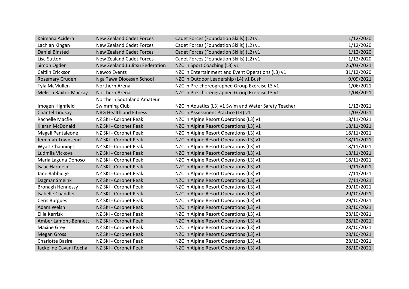| Kaimana Acidera          | <b>New Zealand Cadet Forces</b> | Cadet Forces (Foundation Skills) (L2) v1              | 1/12/2020  |
|--------------------------|---------------------------------|-------------------------------------------------------|------------|
| Lachlan Kingan           | <b>New Zealand Cadet Forces</b> | Cadet Forces (Foundation Skills) (L2) v1              | 1/12/2020  |
| <b>Daniel Binsted</b>    | <b>New Zealand Cadet Forces</b> | Cadet Forces (Foundation Skills) (L2) v1              | 1/12/2020  |
| Lisa Sutton              | <b>New Zealand Cadet Forces</b> | Cadet Forces (Foundation Skills) (L2) v1              | 1/12/2020  |
| Simon Ogden              | New Zealand Ju Jitsu Federation | NZC in Sport Coaching (L3) v1                         | 26/03/2021 |
| Caitlin Erickson         | Newco Events                    | NZC in Entertainment and Event Operations (L3) v1     | 31/12/2020 |
| Rosemary Cruden          | Nga Tawa Diocesan School        | NZC in Outdoor Leadership (L4) v1 Bush                | 9/09/2021  |
| Tyla McMullen            | Northern Arena                  | NZC in Pre-choreographed Group Exercise L3 v1         | 1/06/2021  |
| Melissa Baxter-Mackay    | Northern Arena                  | NZC in Pre-choreographed Group Exercise L3 v1         | 1/04/2021  |
|                          | Northern Southland Amateur      |                                                       |            |
| Imogen Highfield         | <b>Swimming Club</b>            | NZC in Aquatics (L3) v1 Swim and Water Safety Teacher | 1/12/2021  |
| Chantel Lindsay          | NRG Health and Fitness          | NZC in Assessment Practice (L4) v1                    | 1/03/2021  |
| Rachelle Macfie          | NZ SKI - Coronet Peak           | NZC in Alpine Resort Operations (L3) v1               | 18/11/2021 |
| Kieran McDonald          | NZ SKI - Coronet Peak           | NZC in Alpine Resort Operations (L3) v1               | 18/11/2021 |
| Magali Pantaleone        | NZ SKI - Coronet Peak           | NZC in Alpine Resort Operations (L3) v1               | 18/11/2021 |
| Jemimah Townsend         | NZ SKI - Coronet Peak           | NZC in Alpine Resort Operations (L3) v1               | 18/11/2021 |
| <b>Wyatt Channings</b>   | NZ SKI - Coronet Peak           | NZC in Alpine Resort Operations (L3) v1               | 18/11/2021 |
| Ludmila Vlckova          | NZ SKI - Coronet Peak           | NZC in Alpine Resort Operations (L3) v1               | 18/11/2021 |
| Maria Laguna Donoso      | NZ SKI - Coronet Peak           | NZC in Alpine Resort Operations (L3) v1               | 18/11/2021 |
| <b>Isaac Harmelin</b>    | NZ SKI - Coronet Peak           | NZC in Alpine Resort Operations (L3) v1               | 9/11/2021  |
| Jane Rabbidge            | NZ SKI - Coronet Peak           | NZC in Alpine Resort Operations (L3) v1               | 7/11/2021  |
| Dagmar Smeink            | NZ SKI - Coronet Peak           | NZC in Alpine Resort Operations (L3) v1               | 7/11/2021  |
| <b>Bronagh Hennessy</b>  | NZ SKI - Coronet Peak           | NZC in Alpine Resort Operations (L3) v1               | 29/10/2021 |
| <b>Isabelle Chandler</b> | NZ SKI - Coronet Peak           | NZC in Alpine Resort Operations (L3) v1               | 29/10/2021 |
| Ceris Burgues            | NZ SKI - Coronet Peak           | NZC in Alpine Resort Operations (L3) v1               | 29/10/2021 |
| Adam Welsh               | NZ SKI - Coronet Peak           | NZC in Alpine Resort Operations (L3) v1               | 28/10/2021 |
| <b>Ellie Kerrisk</b>     | NZ SKI - Coronet Peak           | NZC in Alpine Resort Operations (L3) v1               | 28/10/2021 |
| Amber Lamont-Bennett     | NZ SKI - Coronet Peak           | NZC in Alpine Resort Operations (L3) v1               | 28/10/2021 |
| <b>Maxine Grey</b>       | NZ SKI - Coronet Peak           | NZC in Alpine Resort Operations (L3) v1               | 28/10/2021 |
| <b>Megan Gross</b>       | NZ SKI - Coronet Peak           | NZC in Alpine Resort Operations (L3) v1               | 28/10/2021 |
| <b>Charlotte Basire</b>  | NZ SKI - Coronet Peak           | NZC in Alpine Resort Operations (L3) v1               | 28/10/2021 |
| Jackeline Cavani Rocha   | NZ SKI - Coronet Peak           | NZC in Alpine Resort Operations (L3) v1               | 28/10/2021 |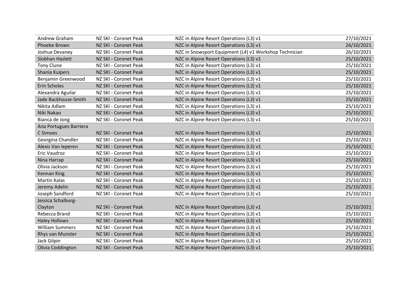| Andrew Graham          | NZ SKI - Coronet Peak | NZC in Alpine Resort Operations (L3) v1                | 27/10/2021 |
|------------------------|-----------------------|--------------------------------------------------------|------------|
| Phoebe Brown           | NZ SKI - Coronet Peak | NZC in Alpine Resort Operations (L3) v1                | 26/10/2021 |
| Joshua Devaney         | NZ SKI - Coronet Peak | NZC in Snowsport Equipment (L4) v1 Workshop Technician | 26/10/2021 |
| Siobhan Hazlett        | NZ SKI - Coronet Peak | NZC in Alpine Resort Operations (L3) v1                | 25/10/2021 |
| <b>Tony Clune</b>      | NZ SKI - Coronet Peak | NZC in Alpine Resort Operations (L3) v1                | 25/10/2021 |
| Shania Kuipers         | NZ SKI - Coronet Peak | NZC in Alpine Resort Operations (L3) v1                | 25/10/2021 |
| Benjamin Greenwood     | NZ SKI - Coronet Peak | NZC in Alpine Resort Operations (L3) v1                | 25/10/2021 |
| Erin Scholes           | NZ SKI - Coronet Peak | NZC in Alpine Resort Operations (L3) v1                | 25/10/2021 |
| Alexandra Aguilar      | NZ SKI - Coronet Peak | NZC in Alpine Resort Operations (L3) v1                | 25/10/2021 |
| Jade Backhouse-Smith   | NZ SKI - Coronet Peak | NZC in Alpine Resort Operations (L3) v1                | 25/10/2021 |
| Nikita Adlam           | NZ SKI - Coronet Peak | NZC in Alpine Resort Operations (L3) v1                | 25/10/2021 |
| Niki Nakao             | NZ SKI - Coronet Peak | NZC in Alpine Resort Operations (L3) v1                | 25/10/2021 |
| Bianca de Jong         | NZ SKI - Coronet Peak | NZC in Alpine Resort Operations (L3) v1                | 25/10/2021 |
| Ana Portugues Barriera |                       |                                                        |            |
| C Simoes               | NZ SKI - Coronet Peak | NZC in Alpine Resort Operations (L3) v1                | 25/10/2021 |
| Georgina Chandler      | NZ SKI - Coronet Peak | NZC in Alpine Resort Operations (L3) v1                | 25/10/2021 |
| Alexis Van Ieperen     | NZ SKI - Coronet Peak | NZC in Alpine Resort Operations (L3) v1                | 25/10/2021 |
| Eric Vaudroz           | NZ SKI - Coronet Peak | NZC in Alpine Resort Operations (L3) v1                | 25/10/2021 |
| Nina Harrap            | NZ SKI - Coronet Peak | NZC in Alpine Resort Operations (L3) v1                | 25/10/2021 |
| Olivia Jackson         | NZ SKI - Coronet Peak | NZC in Alpine Resort Operations (L3) v1                | 25/10/2021 |
| <b>Kennan King</b>     | NZ SKI - Coronet Peak | NZC in Alpine Resort Operations (L3) v1                | 25/10/2021 |
| <b>Martin Kalas</b>    | NZ SKI - Coronet Peak | NZC in Alpine Resort Operations (L3) v1                | 25/10/2021 |
| Jeremy Adelin          | NZ SKI - Coronet Peak | NZC in Alpine Resort Operations (L3) v1                | 25/10/2021 |
| Joseph Sandford        | NZ SKI - Coronet Peak | NZC in Alpine Resort Operations (L3) v1                | 25/10/2021 |
| Jessica Schalburg-     |                       |                                                        |            |
| Clayton                | NZ SKI - Coronet Peak | NZC in Alpine Resort Operations (L3) v1                | 25/10/2021 |
| Rebecca Brand          | NZ SKI - Coronet Peak | NZC in Alpine Resort Operations (L3) v1                | 25/10/2021 |
| <b>Haley Hollows</b>   | NZ SKI - Coronet Peak | NZC in Alpine Resort Operations (L3) v1                | 25/10/2021 |
| <b>William Summers</b> | NZ SKI - Coronet Peak | NZC in Alpine Resort Operations (L3) v1                | 25/10/2021 |
| Rhys van Munster       | NZ SKI - Coronet Peak | NZC in Alpine Resort Operations (L3) v1                | 25/10/2021 |
| Jack Gilpin            | NZ SKI - Coronet Peak | NZC in Alpine Resort Operations (L3) v1                | 25/10/2021 |
| Olivia Coddington      | NZ SKI - Coronet Peak | NZC in Alpine Resort Operations (L3) v1                | 25/10/2021 |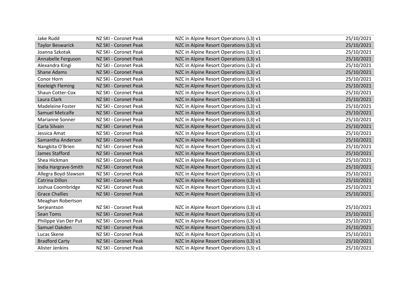| Jake Rudd               | NZ SKI - Coronet Peak | NZC in Alpine Resort Operations (L3) v1 | 25/10/2021 |
|-------------------------|-----------------------|-----------------------------------------|------------|
| <b>Taylor Beswarick</b> | NZ SKI - Coronet Peak | NZC in Alpine Resort Operations (L3) v1 | 25/10/2021 |
| Joanna Szkotak          | NZ SKI - Coronet Peak | NZC in Alpine Resort Operations (L3) v1 | 25/10/2021 |
| Annabelle Ferguson      | NZ SKI - Coronet Peak | NZC in Alpine Resort Operations (L3) v1 | 25/10/2021 |
| Alexandra Kingi         | NZ SKI - Coronet Peak | NZC in Alpine Resort Operations (L3) v1 | 25/10/2021 |
| <b>Shane Adams</b>      | NZ SKI - Coronet Peak | NZC in Alpine Resort Operations (L3) v1 | 25/10/2021 |
| Conor Horn              | NZ SKI - Coronet Peak | NZC in Alpine Resort Operations (L3) v1 | 25/10/2021 |
| <b>Keeleigh Fleming</b> | NZ SKI - Coronet Peak | NZC in Alpine Resort Operations (L3) v1 | 25/10/2021 |
| Shaun Cotter-Cox        | NZ SKI - Coronet Peak | NZC in Alpine Resort Operations (L3) v1 | 25/10/2021 |
| Laura Clark             | NZ SKI - Coronet Peak | NZC in Alpine Resort Operations (L3) v1 | 25/10/2021 |
| Madeleine Foster        | NZ SKI - Coronet Peak | NZC in Alpine Resort Operations (L3) v1 | 25/10/2021 |
| Samuel Metcalfe         | NZ SKI - Coronet Peak | NZC in Alpine Resort Operations (L3) v1 | 25/10/2021 |
| Marianne Sonner         | NZ SKI - Coronet Peak | NZC in Alpine Resort Operations (L3) v1 | 25/10/2021 |
| Carla Silvain           | NZ SKI - Coronet Peak | NZC in Alpine Resort Operations (L3) v1 | 25/10/2021 |
| Jessica Amat            | NZ SKI - Coronet Peak | NZC in Alpine Resort Operations (L3) v1 | 25/10/2021 |
| Samantha Anderson       | NZ SKI - Coronet Peak | NZC in Alpine Resort Operations (L3) v1 | 25/10/2021 |
| Nangkita O'Brien        | NZ SKI - Coronet Peak | NZC in Alpine Resort Operations (L3) v1 | 25/10/2021 |
| James Stafford          | NZ SKI - Coronet Peak | NZC in Alpine Resort Operations (L3) v1 | 25/10/2021 |
| Shea Hickman            | NZ SKI - Coronet Peak | NZC in Alpine Resort Operations (L3) v1 | 25/10/2021 |
| India Hargrave-Smith    | NZ SKI - Coronet Peak | NZC in Alpine Resort Operations (L3) v1 | 25/10/2021 |
| Allegra Boyd-Slawson    | NZ SKI - Coronet Peak | NZC in Alpine Resort Operations (L3) v1 | 25/10/2021 |
| Catrina Dillon          | NZ SKI - Coronet Peak | NZC in Alpine Resort Operations (L3) v1 | 25/10/2021 |
| Joshua Coombridge       | NZ SKI - Coronet Peak | NZC in Alpine Resort Operations (L3) v1 | 25/10/2021 |
| <b>Grace Challies</b>   | NZ SKI - Coronet Peak | NZC in Alpine Resort Operations (L3) v1 | 25/10/2021 |
| Meaghan Robertson       |                       |                                         |            |
| Serjeantson             | NZ SKI - Coronet Peak | NZC in Alpine Resort Operations (L3) v1 | 25/10/2021 |
| Sean Toms               | NZ SKI - Coronet Peak | NZC in Alpine Resort Operations (L3) v1 | 25/10/2021 |
| Philippe Van Der Put    | NZ SKI - Coronet Peak | NZC in Alpine Resort Operations (L3) v1 | 25/10/2021 |
| Samuel Oakden           | NZ SKI - Coronet Peak | NZC in Alpine Resort Operations (L3) v1 | 25/10/2021 |
| Lucas Skene             | NZ SKI - Coronet Peak | NZC in Alpine Resort Operations (L3) v1 | 25/10/2021 |
| <b>Bradford Carty</b>   | NZ SKI - Coronet Peak | NZC in Alpine Resort Operations (L3) v1 | 25/10/2021 |
| Alister Jenkins         | NZ SKI - Coronet Peak | NZC in Alpine Resort Operations (L3) v1 | 25/10/2021 |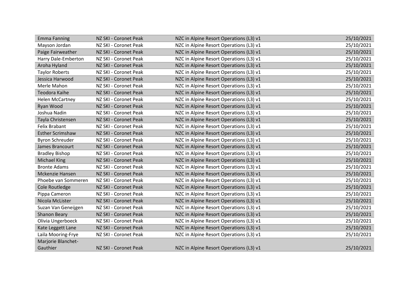| <b>Emma Fanning</b>     | NZ SKI - Coronet Peak | NZC in Alpine Resort Operations (L3) v1 | 25/10/2021 |
|-------------------------|-----------------------|-----------------------------------------|------------|
| Mayson Jordan           | NZ SKI - Coronet Peak | NZC in Alpine Resort Operations (L3) v1 | 25/10/2021 |
| Paige Fairweather       | NZ SKI - Coronet Peak | NZC in Alpine Resort Operations (L3) v1 | 25/10/2021 |
| Harry Dale-Emberton     | NZ SKI - Coronet Peak | NZC in Alpine Resort Operations (L3) v1 | 25/10/2021 |
| Aroha Hyland            | NZ SKI - Coronet Peak | NZC in Alpine Resort Operations (L3) v1 | 25/10/2021 |
| <b>Taylor Roberts</b>   | NZ SKI - Coronet Peak | NZC in Alpine Resort Operations (L3) v1 | 25/10/2021 |
| Jessica Harwood         | NZ SKI - Coronet Peak | NZC in Alpine Resort Operations (L3) v1 | 25/10/2021 |
| Merle Mahon             | NZ SKI - Coronet Peak | NZC in Alpine Resort Operations (L3) v1 | 25/10/2021 |
| <b>Teodora Kaihe</b>    | NZ SKI - Coronet Peak | NZC in Alpine Resort Operations (L3) v1 | 25/10/2021 |
| <b>Helen McCartney</b>  | NZ SKI - Coronet Peak | NZC in Alpine Resort Operations (L3) v1 | 25/10/2021 |
| Ryan Wood               | NZ SKI - Coronet Peak | NZC in Alpine Resort Operations (L3) v1 | 25/10/2021 |
| Joshua Nadin            | NZ SKI - Coronet Peak | NZC in Alpine Resort Operations (L3) v1 | 25/10/2021 |
| Tayla Christensen       | NZ SKI - Coronet Peak | NZC in Alpine Resort Operations (L3) v1 | 25/10/2021 |
| <b>Felix Brabant</b>    | NZ SKI - Coronet Peak | NZC in Alpine Resort Operations (L3) v1 | 25/10/2021 |
| <b>Esther Scrimshaw</b> | NZ SKI - Coronet Peak | NZC in Alpine Resort Operations (L3) v1 | 25/10/2021 |
| <b>Byron Schreuder</b>  | NZ SKI - Coronet Peak | NZC in Alpine Resort Operations (L3) v1 | 25/10/2021 |
| James Brancourt         | NZ SKI - Coronet Peak | NZC in Alpine Resort Operations (L3) v1 | 25/10/2021 |
| <b>Bradley Bishop</b>   | NZ SKI - Coronet Peak | NZC in Alpine Resort Operations (L3) v1 | 25/10/2021 |
| <b>Michael King</b>     | NZ SKI - Coronet Peak | NZC in Alpine Resort Operations (L3) v1 | 25/10/2021 |
| <b>Bronte Adams</b>     | NZ SKI - Coronet Peak | NZC in Alpine Resort Operations (L3) v1 | 25/10/2021 |
| Mckenzie Hansen         | NZ SKI - Coronet Peak | NZC in Alpine Resort Operations (L3) v1 | 25/10/2021 |
| Phoebe van Sommeren     | NZ SKI - Coronet Peak | NZC in Alpine Resort Operations (L3) v1 | 25/10/2021 |
| Cole Routledge          | NZ SKI - Coronet Peak | NZC in Alpine Resort Operations (L3) v1 | 25/10/2021 |
| Pippa Cameron           | NZ SKI - Coronet Peak | NZC in Alpine Resort Operations (L3) v1 | 25/10/2021 |
| Nicola McLister         | NZ SKI - Coronet Peak | NZC in Alpine Resort Operations (L3) v1 | 25/10/2021 |
| Suzan Van Geneijgen     | NZ SKI - Coronet Peak | NZC in Alpine Resort Operations (L3) v1 | 25/10/2021 |
| <b>Shanon Beary</b>     | NZ SKI - Coronet Peak | NZC in Alpine Resort Operations (L3) v1 | 25/10/2021 |
| Olivia Ungerboeck       | NZ SKI - Coronet Peak | NZC in Alpine Resort Operations (L3) v1 | 25/10/2021 |
| Kate Leggett Lane       | NZ SKI - Coronet Peak | NZC in Alpine Resort Operations (L3) v1 | 25/10/2021 |
| Laila Mooring-Frye      | NZ SKI - Coronet Peak | NZC in Alpine Resort Operations (L3) v1 | 25/10/2021 |
| Marjorie Blanchet-      |                       |                                         |            |
| Gauthier                | NZ SKI - Coronet Peak | NZC in Alpine Resort Operations (L3) v1 | 25/10/2021 |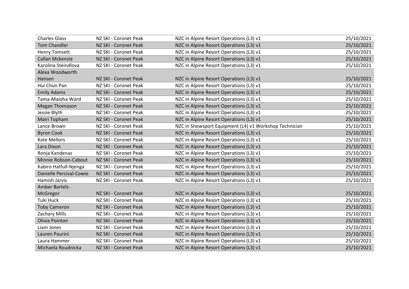| <b>Charles Glass</b>    | NZ SKI - Coronet Peak | NZC in Alpine Resort Operations (L3) v1                | 25/10/2021 |
|-------------------------|-----------------------|--------------------------------------------------------|------------|
| <b>Tom Chandler</b>     | NZ SKI - Coronet Peak | NZC in Alpine Resort Operations (L3) v1                | 25/10/2021 |
| <b>Henry Tomsett</b>    | NZ SKI - Coronet Peak | NZC in Alpine Resort Operations (L3) v1                | 25/10/2021 |
| Callan Mckenzie         | NZ SKI - Coronet Peak | NZC in Alpine Resort Operations (L3) v1                | 25/10/2021 |
| Karolina Steindlova     | NZ SKI - Coronet Peak | NZC in Alpine Resort Operations (L3) v1                | 25/10/2021 |
| Alexa Woodworth         |                       |                                                        |            |
| Hansen                  | NZ SKI - Coronet Peak | NZC in Alpine Resort Operations (L3) v1                | 25/10/2021 |
| Hui Chun Pan            | NZ SKI - Coronet Peak | NZC in Alpine Resort Operations (L3) v1                | 25/10/2021 |
| <b>Emily Adams</b>      | NZ SKI - Coronet Peak | NZC in Alpine Resort Operations (L3) v1                | 25/10/2021 |
| Tama-Maioha Ward        | NZ SKI - Coronet Peak | NZC in Alpine Resort Operations (L3) v1                | 25/10/2021 |
| <b>Megan Thomason</b>   | NZ SKI - Coronet Peak | NZC in Alpine Resort Operations (L3) v1                | 25/10/2021 |
| Jessie Blyth            | NZ SKI - Coronet Peak | NZC in Alpine Resort Operations (L3) v1                | 25/10/2021 |
| Mairi Topham            | NZ SKI - Coronet Peak | NZC in Alpine Resort Operations (L3) v1                | 25/10/2021 |
| Lance Brown             | NZ SKI - Coronet Peak | NZC in Snowsport Equipment (L4) v1 Workshop Technician | 25/10/2021 |
| <b>Byron Cook</b>       | NZ SKI - Coronet Peak | NZC in Alpine Resort Operations (L3) v1                | 25/10/2021 |
| <b>Kate Mellors</b>     | NZ SKI - Coronet Peak | NZC in Alpine Resort Operations (L3) v1                | 25/10/2021 |
| Lara Dixon              | NZ SKI - Coronet Peak | NZC in Alpine Resort Operations (L3) v1                | 25/10/2021 |
| Ronja Kandenas          | NZ SKI - Coronet Peak | NZC in Alpine Resort Operations (L3) v1                | 25/10/2021 |
| Minnie Robson-Cabout    | NZ SKI - Coronet Peak | NZC in Alpine Resort Operations (L3) v1                | 25/10/2021 |
| Kabiro Hatfull-Njenga   | NZ SKI - Coronet Peak | NZC in Alpine Resort Operations (L3) v1                | 25/10/2021 |
| Danielle Percival-Cowie | NZ SKI - Coronet Peak | NZC in Alpine Resort Operations (L3) v1                | 25/10/2021 |
| Hamish Jarvis           | NZ SKI - Coronet Peak | NZC in Alpine Resort Operations (L3) v1                | 25/10/2021 |
| <b>Amber Bartels-</b>   |                       |                                                        |            |
| McGregor                | NZ SKI - Coronet Peak | NZC in Alpine Resort Operations (L3) v1                | 25/10/2021 |
| <b>Tuki Huck</b>        | NZ SKI - Coronet Peak | NZC in Alpine Resort Operations (L3) v1                | 25/10/2021 |
| <b>Toby Cameron</b>     | NZ SKI - Coronet Peak | NZC in Alpine Resort Operations (L3) v1                | 25/10/2021 |
| <b>Zachary Mills</b>    | NZ SKI - Coronet Peak | NZC in Alpine Resort Operations (L3) v1                | 25/10/2021 |
| Olivia Pointon          | NZ SKI - Coronet Peak | NZC in Alpine Resort Operations (L3) v1                | 25/10/2021 |
| Liam Jones              | NZ SKI - Coronet Peak | NZC in Alpine Resort Operations (L3) v1                | 25/10/2021 |
| Lauren Paurini          | NZ SKI - Coronet Peak | NZC in Alpine Resort Operations (L3) v1                | 25/10/2021 |
| Laura Hammer            | NZ SKI - Coronet Peak | NZC in Alpine Resort Operations (L3) v1                | 25/10/2021 |
| Michaela Roudnicka      | NZ SKI - Coronet Peak | NZC in Alpine Resort Operations (L3) v1                | 25/10/2021 |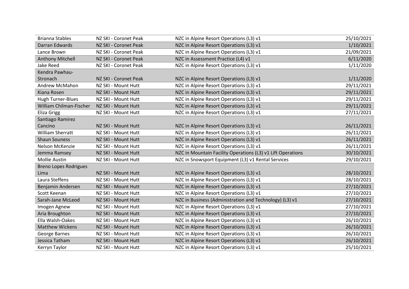| <b>Brianna Stables</b>       | NZ SKI - Coronet Peak | NZC in Alpine Resort Operations (L3) v1                     | 25/10/2021 |
|------------------------------|-----------------------|-------------------------------------------------------------|------------|
| Darran Edwards               | NZ SKI - Coronet Peak | NZC in Alpine Resort Operations (L3) v1                     | 1/10/2021  |
| Lance Brown                  | NZ SKI - Coronet Peak | NZC in Alpine Resort Operations (L3) v1                     | 21/09/2021 |
| <b>Anthony Mitchell</b>      | NZ SKI - Coronet Peak | NZC in Assessment Practice (L4) v1                          | 6/11/2020  |
| <b>Jake Reed</b>             | NZ SKI - Coronet Peak | NZC in Alpine Resort Operations (L3) v1                     | 1/11/2020  |
| Kendra Pawhau-               |                       |                                                             |            |
| Stronach                     | NZ SKI - Coronet Peak | NZC in Alpine Resort Operations (L3) v1                     | 1/11/2020  |
| Andrew McMahon               | NZ SKI - Mount Hutt   | NZC in Alpine Resort Operations (L3) v1                     | 29/11/2021 |
| Kiana Rosen                  | NZ SKI - Mount Hutt   | NZC in Alpine Resort Operations (L3) v1                     | 29/11/2021 |
| <b>Hugh Turner-Blues</b>     | NZ SKI - Mount Hutt   | NZC in Alpine Resort Operations (L3) v1                     | 29/11/2021 |
| William Chilman-Fischer      | NZ SKI - Mount Hutt   | NZC in Alpine Resort Operations (L3) v1                     | 29/11/2021 |
| <b>Eliza Grigg</b>           | NZ SKI - Mount Hutt   | NZC in Alpine Resort Operations (L3) v1                     | 27/11/2021 |
| Santiago Ramirez             |                       |                                                             |            |
| Cancino                      | NZ SKI - Mount Hutt   | NZC in Alpine Resort Operations (L3) v1                     | 26/11/2021 |
| <b>William Sherratt</b>      | NZ SKI - Mount Hutt   | NZC in Alpine Resort Operations (L3) v1                     | 26/11/2021 |
| <b>Shaun Souness</b>         | NZ SKI - Mount Hutt   | NZC in Alpine Resort Operations (L3) v1                     | 26/11/2021 |
| Nelson McKenzie              | NZ SKI - Mount Hutt   | NZC in Alpine Resort Operations (L3) v1                     | 26/11/2021 |
| Jemma Ramsey                 | NZ SKI - Mount Hutt   | NZC in Mountain Facility Operations (L3) v1 Lift Operations | 30/10/2021 |
| <b>Mollie Austin</b>         | NZ SKI - Mount Hutt   | NZC in Snowsport Equipment (L3) v1 Rental Services          | 29/10/2021 |
| <b>Breno Lopes Rodrigues</b> |                       |                                                             |            |
| Lima                         | NZ SKI - Mount Hutt   | NZC in Alpine Resort Operations (L3) v1                     | 28/10/2021 |
| Laura Steffens               | NZ SKI - Mount Hutt   | NZC in Alpine Resort Operations (L3) v1                     | 28/10/2021 |
| Benjamin Andersen            | NZ SKI - Mount Hutt   | NZC in Alpine Resort Operations (L3) v1                     | 27/10/2021 |
| Scott Keenan                 | NZ SKI - Mount Hutt   | NZC in Alpine Resort Operations (L3) v1                     | 27/10/2021 |
| Sarah-Jane McLeod            | NZ SKI - Mount Hutt   | NZC in Business (Administration and Technology) (L3) v1     | 27/10/2021 |
| Imogen Agnew                 | NZ SKI - Mount Hutt   | NZC in Alpine Resort Operations (L3) v1                     | 27/10/2021 |
| Aria Broughton               | NZ SKI - Mount Hutt   | NZC in Alpine Resort Operations (L3) v1                     | 27/10/2021 |
| Ella Walsh-Oakes             | NZ SKI - Mount Hutt   | NZC in Alpine Resort Operations (L3) v1                     | 26/10/2021 |
| <b>Matthew Wickens</b>       | NZ SKI - Mount Hutt   | NZC in Alpine Resort Operations (L3) v1                     | 26/10/2021 |
| <b>George Barnes</b>         | NZ SKI - Mount Hutt   | NZC in Alpine Resort Operations (L3) v1                     | 26/10/2021 |
| Jessica Tatham               | NZ SKI - Mount Hutt   | NZC in Alpine Resort Operations (L3) v1                     | 26/10/2021 |
| Kerryn Taylor                | NZ SKI - Mount Hutt   | NZC in Alpine Resort Operations (L3) v1                     | 25/10/2021 |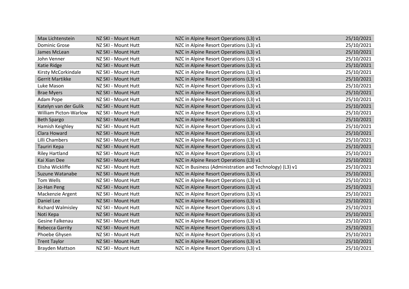| Max Lichtenstein             | NZ SKI - Mount Hutt | NZC in Alpine Resort Operations (L3) v1                 | 25/10/2021 |
|------------------------------|---------------------|---------------------------------------------------------|------------|
| <b>Dominic Grose</b>         | NZ SKI - Mount Hutt | NZC in Alpine Resort Operations (L3) v1                 | 25/10/2021 |
| James McLean                 | NZ SKI - Mount Hutt | NZC in Alpine Resort Operations (L3) v1                 | 25/10/2021 |
| John Venner                  | NZ SKI - Mount Hutt | NZC in Alpine Resort Operations (L3) v1                 | 25/10/2021 |
| Katie Ridge                  | NZ SKI - Mount Hutt | NZC in Alpine Resort Operations (L3) v1                 | 25/10/2021 |
| Kirsty McCorkindale          | NZ SKI - Mount Hutt | NZC in Alpine Resort Operations (L3) v1                 | 25/10/2021 |
| <b>Gerrit Martikke</b>       | NZ SKI - Mount Hutt | NZC in Alpine Resort Operations (L3) v1                 | 25/10/2021 |
| Luke Mason                   | NZ SKI - Mount Hutt | NZC in Alpine Resort Operations (L3) v1                 | 25/10/2021 |
| <b>Brae Myers</b>            | NZ SKI - Mount Hutt | NZC in Alpine Resort Operations (L3) v1                 | 25/10/2021 |
| Adam Pope                    | NZ SKI - Mount Hutt | NZC in Alpine Resort Operations (L3) v1                 | 25/10/2021 |
| Katelyn van der Gulik        | NZ SKI - Mount Hutt | NZC in Alpine Resort Operations (L3) v1                 | 25/10/2021 |
| <b>William Picton-Warlow</b> | NZ SKI - Mount Hutt | NZC in Alpine Resort Operations (L3) v1                 | 25/10/2021 |
| <b>Beth Spargo</b>           | NZ SKI - Mount Hutt | NZC in Alpine Resort Operations (L3) v1                 | 25/10/2021 |
| Hamish Keighley              | NZ SKI - Mount Hutt | NZC in Alpine Resort Operations (L3) v1                 | 25/10/2021 |
| Clara Howard                 | NZ SKI - Mount Hutt | NZC in Alpine Resort Operations (L3) v1                 | 25/10/2021 |
| Lilli Chambers               | NZ SKI - Mount Hutt | NZC in Alpine Resort Operations (L3) v1                 | 25/10/2021 |
| Tauriri Kepa                 | NZ SKI - Mount Hutt | NZC in Alpine Resort Operations (L3) v1                 | 25/10/2021 |
| <b>Riley Hartland</b>        | NZ SKI - Mount Hutt | NZC in Alpine Resort Operations (L3) v1                 | 25/10/2021 |
| Kai Xian Dee                 | NZ SKI - Mount Hutt | NZC in Alpine Resort Operations (L3) v1                 | 25/10/2021 |
| Elisha Wickliffe             | NZ SKI - Mount Hutt | NZC in Business (Administration and Technology) (L3) v1 | 25/10/2021 |
| Suzune Watanabe              | NZ SKI - Mount Hutt | NZC in Alpine Resort Operations (L3) v1                 | 25/10/2021 |
| Tom Wells                    | NZ SKI - Mount Hutt | NZC in Alpine Resort Operations (L3) v1                 | 25/10/2021 |
| Jo-Han Peng                  | NZ SKI - Mount Hutt | NZC in Alpine Resort Operations (L3) v1                 | 25/10/2021 |
| Mackenzie Argent             | NZ SKI - Mount Hutt | NZC in Alpine Resort Operations (L3) v1                 | 25/10/2021 |
| Daniel Lee                   | NZ SKI - Mount Hutt | NZC in Alpine Resort Operations (L3) v1                 | 25/10/2021 |
| <b>Richard Walmisley</b>     | NZ SKI - Mount Hutt | NZC in Alpine Resort Operations (L3) v1                 | 25/10/2021 |
| Noti Kepa                    | NZ SKI - Mount Hutt | NZC in Alpine Resort Operations (L3) v1                 | 25/10/2021 |
| Gesine Falkenau              | NZ SKI - Mount Hutt | NZC in Alpine Resort Operations (L3) v1                 | 25/10/2021 |
| <b>Rebecca Garrity</b>       | NZ SKI - Mount Hutt | NZC in Alpine Resort Operations (L3) v1                 | 25/10/2021 |
| Phoebe Ghysen                | NZ SKI - Mount Hutt | NZC in Alpine Resort Operations (L3) v1                 | 25/10/2021 |
| <b>Trent Taylor</b>          | NZ SKI - Mount Hutt | NZC in Alpine Resort Operations (L3) v1                 | 25/10/2021 |
| <b>Brayden Mattson</b>       | NZ SKI - Mount Hutt | NZC in Alpine Resort Operations (L3) v1                 | 25/10/2021 |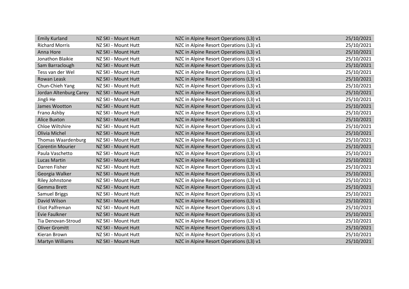| <b>Emily Kurland</b>      | NZ SKI - Mount Hutt | NZC in Alpine Resort Operations (L3) v1 | 25/10/2021 |
|---------------------------|---------------------|-----------------------------------------|------------|
| <b>Richard Morris</b>     | NZ SKI - Mount Hutt | NZC in Alpine Resort Operations (L3) v1 | 25/10/2021 |
| Anna Hore                 | NZ SKI - Mount Hutt | NZC in Alpine Resort Operations (L3) v1 | 25/10/2021 |
| Jonathon Blaikie          | NZ SKI - Mount Hutt | NZC in Alpine Resort Operations (L3) v1 | 25/10/2021 |
| Sam Barraclough           | NZ SKI - Mount Hutt | NZC in Alpine Resort Operations (L3) v1 | 25/10/2021 |
| Tess van der Wel          | NZ SKI - Mount Hutt | NZC in Alpine Resort Operations (L3) v1 | 25/10/2021 |
| Rowan Leask               | NZ SKI - Mount Hutt | NZC in Alpine Resort Operations (L3) v1 | 25/10/2021 |
| Chun-Chieh Yang           | NZ SKI - Mount Hutt | NZC in Alpine Resort Operations (L3) v1 | 25/10/2021 |
| Jordan Altenburg Carey    | NZ SKI - Mount Hutt | NZC in Alpine Resort Operations (L3) v1 | 25/10/2021 |
| Jingli He                 | NZ SKI - Mount Hutt | NZC in Alpine Resort Operations (L3) v1 | 25/10/2021 |
| James Wootton             | NZ SKI - Mount Hutt | NZC in Alpine Resort Operations (L3) v1 | 25/10/2021 |
| Frano Ashby               | NZ SKI - Mount Hutt | NZC in Alpine Resort Operations (L3) v1 | 25/10/2021 |
| <b>Alice Buxton</b>       | NZ SKI - Mount Hutt | NZC in Alpine Resort Operations (L3) v1 | 25/10/2021 |
| Chloe Wiltshire           | NZ SKI - Mount Hutt | NZC in Alpine Resort Operations (L3) v1 | 25/10/2021 |
| Olivia Michel             | NZ SKI - Mount Hutt | NZC in Alpine Resort Operations (L3) v1 | 25/10/2021 |
| <b>Thomas Waardenburg</b> | NZ SKI - Mount Hutt | NZC in Alpine Resort Operations (L3) v1 | 25/10/2021 |
| <b>Corentin Mourier</b>   | NZ SKI - Mount Hutt | NZC in Alpine Resort Operations (L3) v1 | 25/10/2021 |
| Paula Vaschetto           | NZ SKI - Mount Hutt | NZC in Alpine Resort Operations (L3) v1 | 25/10/2021 |
| <b>Lucas Martin</b>       | NZ SKI - Mount Hutt | NZC in Alpine Resort Operations (L3) v1 | 25/10/2021 |
| Darren Fisher             | NZ SKI - Mount Hutt | NZC in Alpine Resort Operations (L3) v1 | 25/10/2021 |
| Georgia Walker            | NZ SKI - Mount Hutt | NZC in Alpine Resort Operations (L3) v1 | 25/10/2021 |
| <b>Riley Johnstone</b>    | NZ SKI - Mount Hutt | NZC in Alpine Resort Operations (L3) v1 | 25/10/2021 |
| <b>Gemma Brett</b>        | NZ SKI - Mount Hutt | NZC in Alpine Resort Operations (L3) v1 | 25/10/2021 |
| Samuel Briggs             | NZ SKI - Mount Hutt | NZC in Alpine Resort Operations (L3) v1 | 25/10/2021 |
| David Wilson              | NZ SKI - Mount Hutt | NZC in Alpine Resort Operations (L3) v1 | 25/10/2021 |
| Eliot Palfreman           | NZ SKI - Mount Hutt | NZC in Alpine Resort Operations (L3) v1 | 25/10/2021 |
| <b>Evie Faulkner</b>      | NZ SKI - Mount Hutt | NZC in Alpine Resort Operations (L3) v1 | 25/10/2021 |
| Tia Denovan-Stroud        | NZ SKI - Mount Hutt | NZC in Alpine Resort Operations (L3) v1 | 25/10/2021 |
| <b>Oliver Gromitt</b>     | NZ SKI - Mount Hutt | NZC in Alpine Resort Operations (L3) v1 | 25/10/2021 |
| Kieran Brown              | NZ SKI - Mount Hutt | NZC in Alpine Resort Operations (L3) v1 | 25/10/2021 |
| <b>Martyn Williams</b>    | NZ SKI - Mount Hutt | NZC in Alpine Resort Operations (L3) v1 | 25/10/2021 |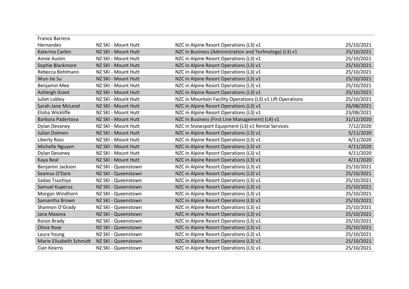| Franco Barrera          |                     |                                                             |            |
|-------------------------|---------------------|-------------------------------------------------------------|------------|
| Hernandez               | NZ SKI - Mount Hutt | NZC in Alpine Resort Operations (L3) v1                     | 25/10/2021 |
| Katerina Carbin         | NZ SKI - Mount Hutt | NZC in Business (Administration and Technology) (L3) v1     | 25/10/2021 |
| Annie Austin            | NZ SKI - Mount Hutt | NZC in Alpine Resort Operations (L3) v1                     | 25/10/2021 |
| Sophie Blackmore        | NZ SKI - Mount Hutt | NZC in Alpine Resort Operations (L3) v1                     | 25/10/2021 |
| Rebecca Bohlmann        | NZ SKI - Mount Hutt | NZC in Alpine Resort Operations (L3) v1                     | 25/10/2021 |
| Wun-Jie Su              | NZ SKI - Mount Hutt | NZC in Alpine Resort Operations (L3) v1                     | 25/10/2021 |
| Benjamin Mee            | NZ SKI - Mount Hutt | NZC in Alpine Resort Operations (L3) v1                     | 25/10/2021 |
| <b>Ashleigh Grant</b>   | NZ SKI - Mount Hutt | NZC in Alpine Resort Operations (L3) v1                     | 25/10/2021 |
| Juliet Lobley           | NZ SKI - Mount Hutt | NZC in Mountain Facility Operations (L3) v1 Lift Operations | 25/10/2021 |
| Sarah-Jane McLeod       | NZ SKI - Mount Hutt | NZC in Alpine Resort Operations (L3) v1                     | 26/08/2021 |
| Elisha Wickliffe        | NZ SKI - Mount Hutt | NZC in Alpine Resort Operations (L3) v1                     | 23/08/2021 |
| Barbora Padertova       | NZ SKI - Mount Hutt | NZC in Business (First Line Management) (L4) v1             | 31/12/2020 |
| <b>Dylan Devaney</b>    | NZ SKI - Mount Hutt | NZC in Snowsport Equipment (L3) v1 Rental Services          | 7/12/2020  |
| Julian Dolmen           | NZ SKI - Mount Hutt | NZC in Alpine Resort Operations (L3) v1                     | 5/11/2020  |
| <b>Liberty Ross</b>     | NZ SKI - Mount Hutt | NZC in Alpine Resort Operations (L3) v1                     | 4/11/2020  |
| Michelle Nguyen         | NZ SKI - Mount Hutt | NZC in Alpine Resort Operations (L3) v1                     | 4/11/2020  |
| <b>Dylan Devaney</b>    | NZ SKI - Mount Hutt | NZC in Alpine Resort Operations (L3) v1                     | 4/11/2020  |
| Kaya Beal               | NZ SKI - Mount Hutt | NZC in Alpine Resort Operations (L3) v1                     | 4/11/2020  |
| Benjamin Jackson        | NZ SKI - Queenstown | NZC in Alpine Resort Operations (L3) v1                     | 25/10/2021 |
| Seamus O'Dare           | NZ SKI - Queenstown | NZC in Alpine Resort Operations (L3) v1                     | 25/10/2021 |
| Sadao Tsuchiya          | NZ SKI - Queenstown | NZC in Alpine Resort Operations (L3) v1                     | 25/10/2021 |
| Samuel Kuperus          | NZ SKI - Queenstown | NZC in Alpine Resort Operations (L3) v1                     | 25/10/2021 |
| Morgan Windhorn         | NZ SKI - Queenstown | NZC in Alpine Resort Operations (L3) v1                     | 25/10/2021 |
| Samantha Brown          | NZ SKI - Queenstown | NZC in Alpine Resort Operations (L3) v1                     | 25/10/2021 |
| Shannon O'Grady         | NZ SKI - Queenstown | NZC in Alpine Resort Operations (L3) v1                     | 25/10/2021 |
| Jana Maxova             | NZ SKI - Queenstown | NZC in Alpine Resort Operations (L3) v1                     | 25/10/2021 |
| Roisin Brady            | NZ SKI - Queenstown | NZC in Alpine Resort Operations (L3) v1                     | 25/10/2021 |
| Olivia Rose             | NZ SKI - Queenstown | NZC in Alpine Resort Operations (L3) v1                     | 25/10/2021 |
| Laura Young             | NZ SKI - Queenstown | NZC in Alpine Resort Operations (L3) v1                     | 25/10/2021 |
| Marie-Elisabeth Schmidt | NZ SKI - Queenstown | NZC in Alpine Resort Operations (L3) v1                     | 25/10/2021 |
| Cian Kearns             | NZ SKI - Queenstown | NZC in Alpine Resort Operations (L3) v1                     | 25/10/2021 |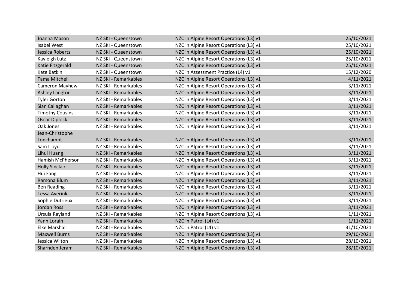| Joanna Mason           | NZ SKI - Queenstown  | NZC in Alpine Resort Operations (L3) v1 | 25/10/2021 |
|------------------------|----------------------|-----------------------------------------|------------|
| <b>Isabel West</b>     | NZ SKI - Queenstown  | NZC in Alpine Resort Operations (L3) v1 | 25/10/2021 |
| Jessica Roberts        | NZ SKI - Queenstown  | NZC in Alpine Resort Operations (L3) v1 | 25/10/2021 |
| Kayleigh Lutz          | NZ SKI - Queenstown  | NZC in Alpine Resort Operations (L3) v1 | 25/10/2021 |
| Katie Fitzgerald       | NZ SKI - Queenstown  | NZC in Alpine Resort Operations (L3) v1 | 25/10/2021 |
| Kate Batkin            | NZ SKI - Queenstown  | NZC in Assessment Practice (L4) v1      | 15/12/2020 |
| <b>Tama Mitchell</b>   | NZ SKI - Remarkables | NZC in Alpine Resort Operations (L3) v1 | 4/11/2021  |
| Cameron Mayhew         | NZ SKI - Remarkables | NZC in Alpine Resort Operations (L3) v1 | 3/11/2021  |
| Ashley Langton         | NZ SKI - Remarkables | NZC in Alpine Resort Operations (L3) v1 | 3/11/2021  |
| <b>Tyler Gorton</b>    | NZ SKI - Remarkables | NZC in Alpine Resort Operations (L3) v1 | 3/11/2021  |
| Sian Callaghan         | NZ SKI - Remarkables | NZC in Alpine Resort Operations (L3) v1 | 3/11/2021  |
| <b>Timothy Cousins</b> | NZ SKI - Remarkables | NZC in Alpine Resort Operations (L3) v1 | 3/11/2021  |
| <b>Oscar Diplock</b>   | NZ SKI - Remarkables | NZC in Alpine Resort Operations (L3) v1 | 3/11/2021  |
| Oak Jones              | NZ SKI - Remarkables | NZC in Alpine Resort Operations (L3) v1 | 3/11/2021  |
| Jean-Christophe        |                      |                                         |            |
| Lonchampt              | NZ SKI - Remarkables | NZC in Alpine Resort Operations (L3) v1 | 3/11/2021  |
| Sam Lloyd              | NZ SKI - Remarkables | NZC in Alpine Resort Operations (L3) v1 | 3/11/2021  |
| Lihui Huang            | NZ SKI - Remarkables | NZC in Alpine Resort Operations (L3) v1 | 3/11/2021  |
| Hamish McPherson       | NZ SKI - Remarkables | NZC in Alpine Resort Operations (L3) v1 | 3/11/2021  |
| <b>Holly Sinclair</b>  | NZ SKI - Remarkables | NZC in Alpine Resort Operations (L3) v1 | 3/11/2021  |
| Hui Fang               | NZ SKI - Remarkables | NZC in Alpine Resort Operations (L3) v1 | 3/11/2021  |
| Ramona Blum            | NZ SKI - Remarkables | NZC in Alpine Resort Operations (L3) v1 | 3/11/2021  |
| <b>Ben Reading</b>     | NZ SKI - Remarkables | NZC in Alpine Resort Operations (L3) v1 | 3/11/2021  |
| <b>Tessa Averink</b>   | NZ SKI - Remarkables | NZC in Alpine Resort Operations (L3) v1 | 3/11/2021  |
| Sophie Dutrieux        | NZ SKI - Remarkables | NZC in Alpine Resort Operations (L3) v1 | 3/11/2021  |
| Jordan Ross            | NZ SKI - Remarkables | NZC in Alpine Resort Operations (L3) v1 | 3/11/2021  |
| Ursula Reyland         | NZ SKI - Remarkables | NZC in Alpine Resort Operations (L3) v1 | 1/11/2021  |
| Yann Lorain            | NZ SKI - Remarkables | NZC in Patrol (L4) v1                   | 1/11/2021  |
| <b>Elke Marshall</b>   | NZ SKI - Remarkables | NZC in Patrol (L4) v1                   | 31/10/2021 |
| <b>Maxwell Burns</b>   | NZ SKI - Remarkables | NZC in Alpine Resort Operations (L3) v1 | 29/10/2021 |
| Jessica Wilton         | NZ SKI - Remarkables | NZC in Alpine Resort Operations (L3) v1 | 28/10/2021 |
| Sharnden Jeram         | NZ SKI - Remarkables | NZC in Alpine Resort Operations (L3) v1 | 28/10/2021 |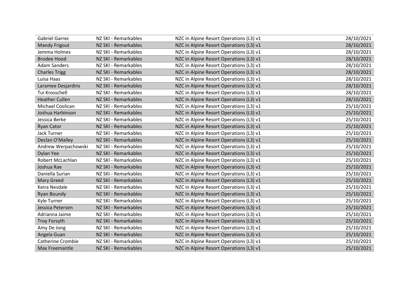| <b>Gabriel Garrec</b>    | NZ SKI - Remarkables | NZC in Alpine Resort Operations (L3) v1 | 28/10/2021 |
|--------------------------|----------------------|-----------------------------------------|------------|
| <b>Mandy Frigout</b>     | NZ SKI - Remarkables | NZC in Alpine Resort Operations (L3) v1 | 28/10/2021 |
| Jemma Holmes             | NZ SKI - Remarkables | NZC in Alpine Resort Operations (L3) v1 | 28/10/2021 |
| <b>Brodee Hood</b>       | NZ SKI - Remarkables | NZC in Alpine Resort Operations (L3) v1 | 28/10/2021 |
| <b>Adam Sanders</b>      | NZ SKI - Remarkables | NZC in Alpine Resort Operations (L3) v1 | 28/10/2021 |
| <b>Charles Trigg</b>     | NZ SKI - Remarkables | NZC in Alpine Resort Operations (L3) v1 | 28/10/2021 |
| Luisa Haas               | NZ SKI - Remarkables | NZC in Alpine Resort Operations (L3) v1 | 28/10/2021 |
| Laramee Desjardins       | NZ SKI - Remarkables | NZC in Alpine Resort Operations (L3) v1 | 28/10/2021 |
| Tui Krosschell           | NZ SKI - Remarkables | NZC in Alpine Resort Operations (L3) v1 | 28/10/2021 |
| <b>Heather Cullen</b>    | NZ SKI - Remarkables | NZC in Alpine Resort Operations (L3) v1 | 28/10/2021 |
| Michael Coolican         | NZ SKI - Remarkables | NZC in Alpine Resort Operations (L3) v1 | 25/10/2021 |
| Joshua Harbinson         | NZ SKI - Remarkables | NZC in Alpine Resort Operations (L3) v1 | 25/10/2021 |
| Jessica Berke            | NZ SKI - Remarkables | NZC in Alpine Resort Operations (L3) v1 | 25/10/2021 |
| <b>Ryan Cator</b>        | NZ SKI - Remarkables | NZC in Alpine Resort Operations (L3) v1 | 25/10/2021 |
| <b>Jack Turner</b>       | NZ SKI - Remarkables | NZC in Alpine Resort Operations (L3) v1 | 25/10/2021 |
| Declan O'Malley          | NZ SKI - Remarkables | NZC in Alpine Resort Operations (L3) v1 | 25/10/2021 |
| Andrew Werpachowski      | NZ SKI - Remarkables | NZC in Alpine Resort Operations (L3) v1 | 25/10/2021 |
| Dylan Yee                | NZ SKI - Remarkables | NZC in Alpine Resort Operations (L3) v1 | 25/10/2021 |
| Robert McLachlan         | NZ SKI - Remarkables | NZC in Alpine Resort Operations (L3) v1 | 25/10/2021 |
| Joshua Rae               | NZ SKI - Remarkables | NZC in Alpine Resort Operations (L3) v1 | 25/10/2021 |
| Daniella Surian          | NZ SKI - Remarkables | NZC in Alpine Resort Operations (L3) v1 | 25/10/2021 |
| <b>Mary Greed</b>        | NZ SKI - Remarkables | NZC in Alpine Resort Operations (L3) v1 | 25/10/2021 |
| Keira Nesdale            | NZ SKI - Remarkables | NZC in Alpine Resort Operations (L3) v1 | 25/10/2021 |
| <b>Ryan Boundy</b>       | NZ SKI - Remarkables | NZC in Alpine Resort Operations (L3) v1 | 25/10/2021 |
| Kyle Turner              | NZ SKI - Remarkables | NZC in Alpine Resort Operations (L3) v1 | 25/10/2021 |
| Jessica Petersen         | NZ SKI - Remarkables | NZC in Alpine Resort Operations (L3) v1 | 25/10/2021 |
| Adrianna Jaime           | NZ SKI - Remarkables | NZC in Alpine Resort Operations (L3) v1 | 25/10/2021 |
| <b>Troy Forsyth</b>      | NZ SKI - Remarkables | NZC in Alpine Resort Operations (L3) v1 | 25/10/2021 |
| Amy De Jong              | NZ SKI - Remarkables | NZC in Alpine Resort Operations (L3) v1 | 25/10/2021 |
| Angela Guan              | NZ SKI - Remarkables | NZC in Alpine Resort Operations (L3) v1 | 25/10/2021 |
| <b>Catherine Crombie</b> | NZ SKI - Remarkables | NZC in Alpine Resort Operations (L3) v1 | 25/10/2021 |
| Max Freemantle           | NZ SKI - Remarkables | NZC in Alpine Resort Operations (L3) v1 | 25/10/2021 |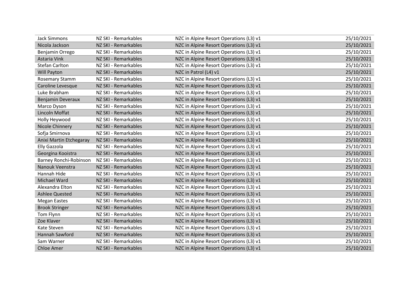| <b>Jack Simmons</b>      | NZ SKI - Remarkables | NZC in Alpine Resort Operations (L3) v1 | 25/10/2021 |
|--------------------------|----------------------|-----------------------------------------|------------|
| Nicola Jackson           | NZ SKI - Remarkables | NZC in Alpine Resort Operations (L3) v1 | 25/10/2021 |
| Benjamin Orrego          | NZ SKI - Remarkables | NZC in Alpine Resort Operations (L3) v1 | 25/10/2021 |
| Astaria Vink             | NZ SKI - Remarkables | NZC in Alpine Resort Operations (L3) v1 | 25/10/2021 |
| <b>Stefan Carlton</b>    | NZ SKI - Remarkables | NZC in Alpine Resort Operations (L3) v1 | 25/10/2021 |
| Will Payton              | NZ SKI - Remarkables | NZC in Patrol (L4) v1                   | 25/10/2021 |
| <b>Rosemary Stamm</b>    | NZ SKI - Remarkables | NZC in Alpine Resort Operations (L3) v1 | 25/10/2021 |
| Caroline Levesque        | NZ SKI - Remarkables | NZC in Alpine Resort Operations (L3) v1 | 25/10/2021 |
| Luke Brabham             | NZ SKI - Remarkables | NZC in Alpine Resort Operations (L3) v1 | 25/10/2021 |
| <b>Benjamin Deveraux</b> | NZ SKI - Remarkables | NZC in Alpine Resort Operations (L3) v1 | 25/10/2021 |
| Marco Dyson              | NZ SKI - Remarkables | NZC in Alpine Resort Operations (L3) v1 | 25/10/2021 |
| Lincoln Moffat           | NZ SKI - Remarkables | NZC in Alpine Resort Operations (L3) v1 | 25/10/2021 |
| Holly Heywood            | NZ SKI - Remarkables | NZC in Alpine Resort Operations (L3) v1 | 25/10/2021 |
| Nicole Chinnery          | NZ SKI - Remarkables | NZC in Alpine Resort Operations (L3) v1 | 25/10/2021 |
| Sofja Smirnova           | NZ SKI - Remarkables | NZC in Alpine Resort Operations (L3) v1 | 25/10/2021 |
| Anixi Martin Etchegaray  | NZ SKI - Remarkables | NZC in Alpine Resort Operations (L3) v1 | 25/10/2021 |
| <b>Elly Gazzola</b>      | NZ SKI - Remarkables | NZC in Alpine Resort Operations (L3) v1 | 25/10/2021 |
| Georgina Kooistra        | NZ SKI - Remarkables | NZC in Alpine Resort Operations (L3) v1 | 25/10/2021 |
| Barney Ronchi-Robinson   | NZ SKI - Remarkables | NZC in Alpine Resort Operations (L3) v1 | 25/10/2021 |
| Nanouk Veenstra          | NZ SKI - Remarkables | NZC in Alpine Resort Operations (L3) v1 | 25/10/2021 |
| Hannah Hide              | NZ SKI - Remarkables | NZC in Alpine Resort Operations (L3) v1 | 25/10/2021 |
| <b>Michael Ward</b>      | NZ SKI - Remarkables | NZC in Alpine Resort Operations (L3) v1 | 25/10/2021 |
| Alexandra Elton          | NZ SKI - Remarkables | NZC in Alpine Resort Operations (L3) v1 | 25/10/2021 |
| <b>Ashlee Quested</b>    | NZ SKI - Remarkables | NZC in Alpine Resort Operations (L3) v1 | 25/10/2021 |
| <b>Megan Eastes</b>      | NZ SKI - Remarkables | NZC in Alpine Resort Operations (L3) v1 | 25/10/2021 |
| <b>Brook Stringer</b>    | NZ SKI - Remarkables | NZC in Alpine Resort Operations (L3) v1 | 25/10/2021 |
| Tom Flynn                | NZ SKI - Remarkables | NZC in Alpine Resort Operations (L3) v1 | 25/10/2021 |
| Zoe Klaver               | NZ SKI - Remarkables | NZC in Alpine Resort Operations (L3) v1 | 25/10/2021 |
| Kate Steven              | NZ SKI - Remarkables | NZC in Alpine Resort Operations (L3) v1 | 25/10/2021 |
| Hannah Sawford           | NZ SKI - Remarkables | NZC in Alpine Resort Operations (L3) v1 | 25/10/2021 |
| Sam Warner               | NZ SKI - Remarkables | NZC in Alpine Resort Operations (L3) v1 | 25/10/2021 |
| <b>Chloe Amer</b>        | NZ SKI - Remarkables | NZC in Alpine Resort Operations (L3) v1 | 25/10/2021 |